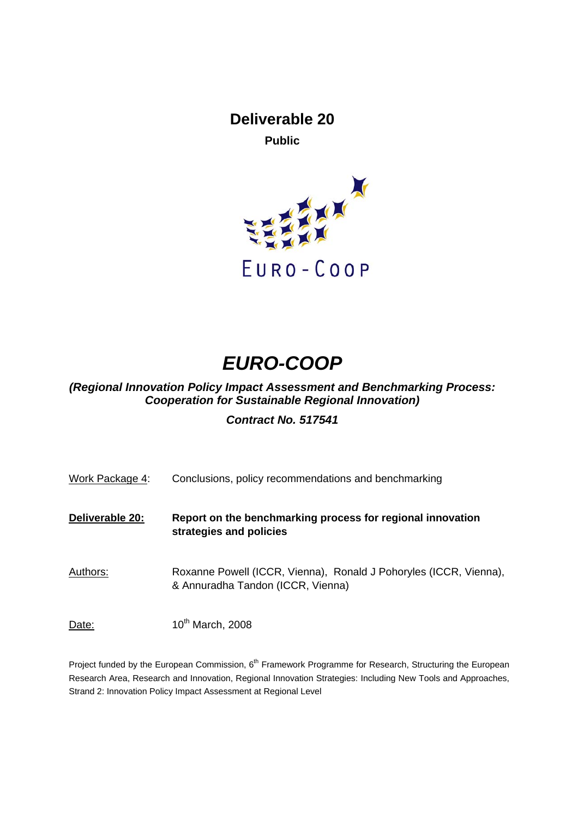# **Deliverable 20**

**Public** 



# *EURO-COOP*

## *(Regional Innovation Policy Impact Assessment and Benchmarking Process: Cooperation for Sustainable Regional Innovation)*

## *Contract No. 517541*

| Work Package 4: | Conclusions, policy recommendations and benchmarking                                                   |
|-----------------|--------------------------------------------------------------------------------------------------------|
| Deliverable 20: | Report on the benchmarking process for regional innovation<br>strategies and policies                  |
| Authors:        | Roxanne Powell (ICCR, Vienna), Ronald J Pohoryles (ICCR, Vienna),<br>& Annuradha Tandon (ICCR, Vienna) |
| Date:           | 10th March, 2008                                                                                       |

Project funded by the European Commission, 6<sup>th</sup> Framework Programme for Research, Structuring the European Research Area, Research and Innovation, Regional Innovation Strategies: Including New Tools and Approaches, Strand 2: Innovation Policy Impact Assessment at Regional Level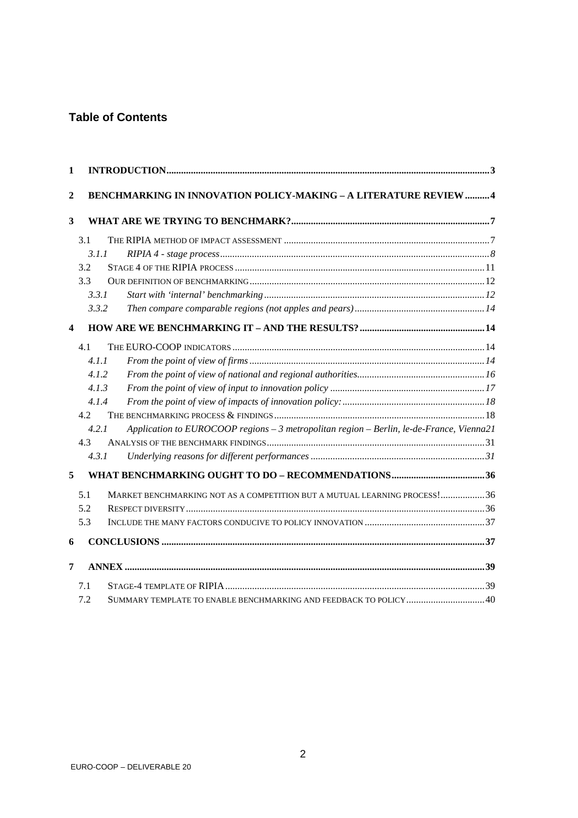## **Table of Contents**

| 1            |                                                                                                   |  |
|--------------|---------------------------------------------------------------------------------------------------|--|
| $\mathbf{2}$ | <b>BENCHMARKING IN INNOVATION POLICY-MAKING - A LITERATURE REVIEW  4</b>                          |  |
| 3            |                                                                                                   |  |
|              | 3.1                                                                                               |  |
|              | 3.1.1                                                                                             |  |
|              | 3.2                                                                                               |  |
|              | 3.3                                                                                               |  |
|              | 3.3.1                                                                                             |  |
|              | 3.3.2                                                                                             |  |
| 4            |                                                                                                   |  |
|              | 4.1                                                                                               |  |
|              | 4.1.1                                                                                             |  |
|              | 4.1.2                                                                                             |  |
|              | 4.1.3                                                                                             |  |
|              | 4.1.4                                                                                             |  |
|              | 4.2                                                                                               |  |
|              | 4.2.1<br>Application to EUROCOOP regions - 3 metropolitan region - Berlin, le-de-France, Vienna21 |  |
|              | 4.3                                                                                               |  |
|              | 4.3.1                                                                                             |  |
| 5            |                                                                                                   |  |
|              | MARKET BENCHMARKING NOT AS A COMPETITION BUT A MUTUAL LEARNING PROCESS!36<br>5.1                  |  |
|              | 5.2                                                                                               |  |
|              | 5.3                                                                                               |  |
| 6            |                                                                                                   |  |
| 7            |                                                                                                   |  |
|              | 7.1                                                                                               |  |
|              | SUMMARY TEMPLATE TO ENABLE BENCHMARKING AND FEEDBACK TO POLICY  40<br>7.2                         |  |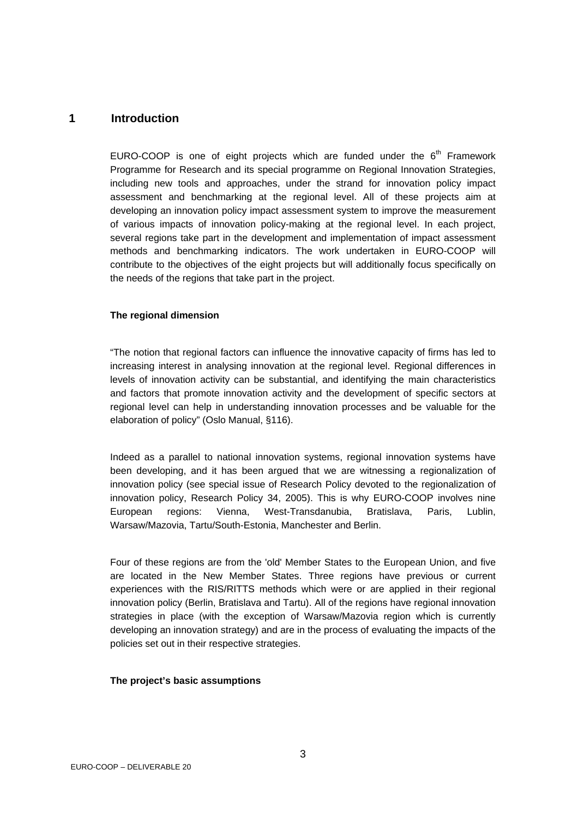## <span id="page-2-0"></span>**1 Introduction**

EURO-COOP is one of eight projects which are funded under the  $6<sup>th</sup>$  Framework Programme for Research and its special programme on Regional Innovation Strategies, including new tools and approaches, under the strand for innovation policy impact assessment and benchmarking at the regional level. All of these projects aim at developing an innovation policy impact assessment system to improve the measurement of various impacts of innovation policy-making at the regional level. In each project, several regions take part in the development and implementation of impact assessment methods and benchmarking indicators. The work undertaken in EURO-COOP will contribute to the objectives of the eight projects but will additionally focus specifically on the needs of the regions that take part in the project.

#### **The regional dimension**

"The notion that regional factors can influence the innovative capacity of firms has led to increasing interest in analysing innovation at the regional level. Regional differences in levels of innovation activity can be substantial, and identifying the main characteristics and factors that promote innovation activity and the development of specific sectors at regional level can help in understanding innovation processes and be valuable for the elaboration of policy" (Oslo Manual, §116).

Indeed as a parallel to national innovation systems, regional innovation systems have been developing, and it has been argued that we are witnessing a regionalization of innovation policy (see special issue of Research Policy devoted to the regionalization of innovation policy, Research Policy 34, 2005). This is why EURO-COOP involves nine European regions: Vienna, West-Transdanubia, Bratislava, Paris, Lublin, Warsaw/Mazovia, Tartu/South-Estonia, Manchester and Berlin.

Four of these regions are from the 'old' Member States to the European Union, and five are located in the New Member States. Three regions have previous or current experiences with the RIS/RITTS methods which were or are applied in their regional innovation policy (Berlin, Bratislava and Tartu). All of the regions have regional innovation strategies in place (with the exception of Warsaw/Mazovia region which is currently developing an innovation strategy) and are in the process of evaluating the impacts of the policies set out in their respective strategies.

#### **The project's basic assumptions**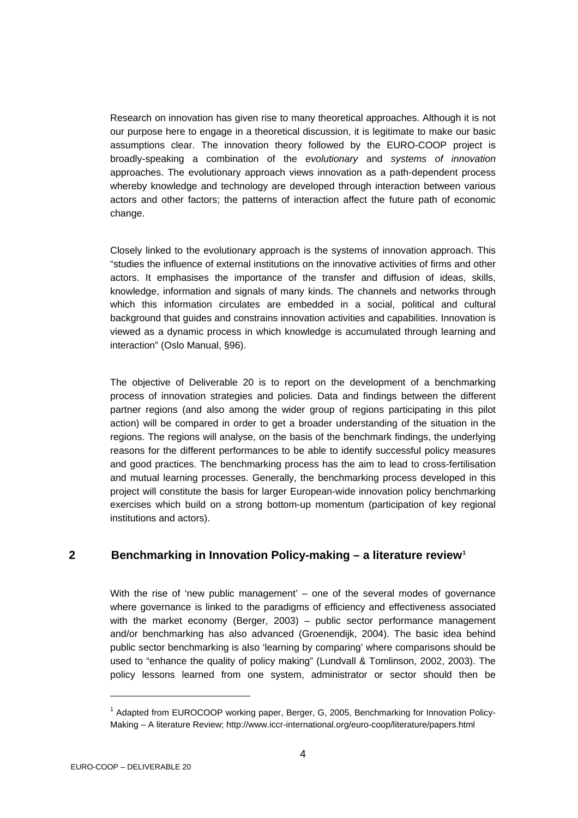<span id="page-3-0"></span>Research on innovation has given rise to many theoretical approaches. Although it is not our purpose here to engage in a theoretical discussion, it is legitimate to make our basic assumptions clear. The innovation theory followed by the EURO-COOP project is broadly-speaking a combination of the *evolutionary* and *systems of innovation* approaches. The evolutionary approach views innovation as a path-dependent process whereby knowledge and technology are developed through interaction between various actors and other factors; the patterns of interaction affect the future path of economic change.

Closely linked to the evolutionary approach is the systems of innovation approach. This "studies the influence of external institutions on the innovative activities of firms and other actors. It emphasises the importance of the transfer and diffusion of ideas, skills, knowledge, information and signals of many kinds. The channels and networks through which this information circulates are embedded in a social, political and cultural background that guides and constrains innovation activities and capabilities. Innovation is viewed as a dynamic process in which knowledge is accumulated through learning and interaction" (Oslo Manual, §96).

The objective of Deliverable 20 is to report on the development of a benchmarking process of innovation strategies and policies. Data and findings between the different partner regions (and also among the wider group of regions participating in this pilot action) will be compared in order to get a broader understanding of the situation in the regions. The regions will analyse, on the basis of the benchmark findings, the underlying reasons for the different performances to be able to identify successful policy measures and good practices. The benchmarking process has the aim to lead to cross-fertilisation and mutual learning processes. Generally, the benchmarking process developed in this project will constitute the basis for larger European-wide innovation policy benchmarking exercises which build on a strong bottom-up momentum (participation of key regional institutions and actors).

## **2 Benchmarking in Innovation Policy-making – a literature review[1](#page-3-1)**

With the rise of 'new public management' – one of the several modes of governance where governance is linked to the paradigms of efficiency and effectiveness associated with the market economy (Berger, 2003) – public sector performance management and/or benchmarking has also advanced (Groenendijk, 2004). The basic idea behind public sector benchmarking is also 'learning by comparing' where comparisons should be used to "enhance the quality of policy making" (Lundvall & Tomlinson, 2002, 2003). The policy lessons learned from one system, administrator or sector should then be

l

<span id="page-3-1"></span><sup>&</sup>lt;sup>1</sup> Adapted from EUROCOOP working paper, Berger, G, 2005, Benchmarking for Innovation Policy-Making – A literature Review; http://www.iccr-international.org/euro-coop/literature/papers.html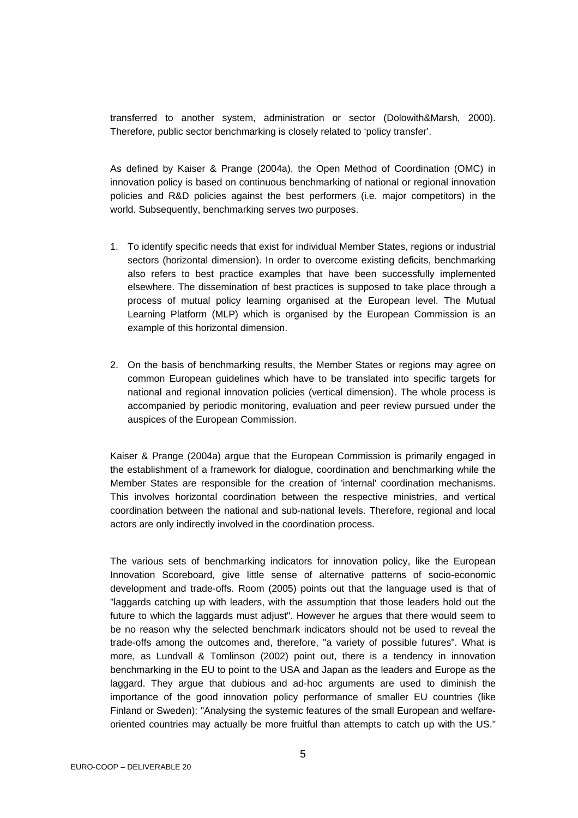transferred to another system, administration or sector (Dolowith&Marsh, 2000). Therefore, public sector benchmarking is closely related to 'policy transfer'.

As defined by Kaiser & Prange (2004a), the Open Method of Coordination (OMC) in innovation policy is based on continuous benchmarking of national or regional innovation policies and R&D policies against the best performers (i.e. major competitors) in the world. Subsequently, benchmarking serves two purposes.

- 1. To identify specific needs that exist for individual Member States, regions or industrial sectors (horizontal dimension). In order to overcome existing deficits, benchmarking also refers to best practice examples that have been successfully implemented elsewhere. The dissemination of best practices is supposed to take place through a process of mutual policy learning organised at the European level. The Mutual Learning Platform (MLP) which is organised by the European Commission is an example of this horizontal dimension.
- 2. On the basis of benchmarking results, the Member States or regions may agree on common European guidelines which have to be translated into specific targets for national and regional innovation policies (vertical dimension). The whole process is accompanied by periodic monitoring, evaluation and peer review pursued under the auspices of the European Commission.

Kaiser & Prange (2004a) argue that the European Commission is primarily engaged in the establishment of a framework for dialogue, coordination and benchmarking while the Member States are responsible for the creation of 'internal' coordination mechanisms. This involves horizontal coordination between the respective ministries, and vertical coordination between the national and sub-national levels. Therefore, regional and local actors are only indirectly involved in the coordination process.

The various sets of benchmarking indicators for innovation policy, like the European Innovation Scoreboard, give little sense of alternative patterns of socio-economic development and trade-offs. Room (2005) points out that the language used is that of "laggards catching up with leaders, with the assumption that those leaders hold out the future to which the laggards must adjust". However he argues that there would seem to be no reason why the selected benchmark indicators should not be used to reveal the trade-offs among the outcomes and, therefore, "a variety of possible futures". What is more, as Lundvall & Tomlinson (2002) point out, there is a tendency in innovation benchmarking in the EU to point to the USA and Japan as the leaders and Europe as the laggard. They argue that dubious and ad-hoc arguments are used to diminish the importance of the good innovation policy performance of smaller EU countries (like Finland or Sweden): "Analysing the systemic features of the small European and welfareoriented countries may actually be more fruitful than attempts to catch up with the US."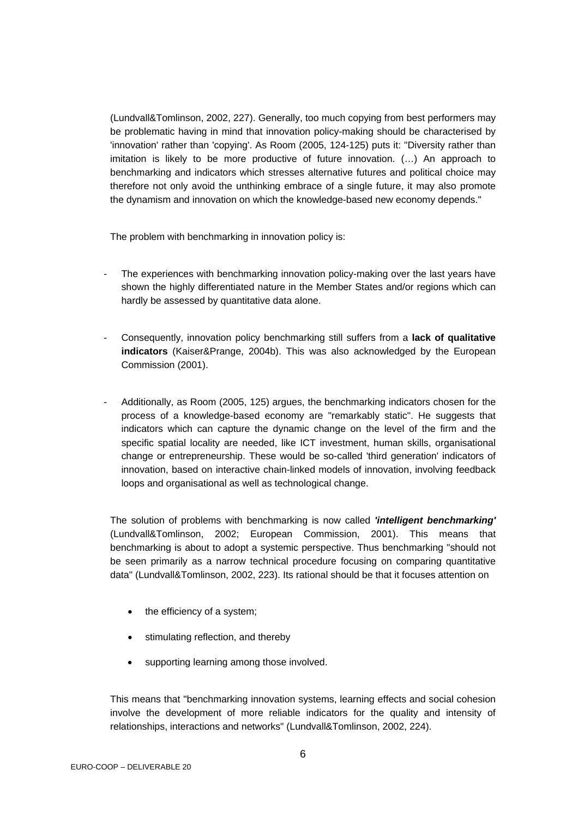(Lundvall&Tomlinson, 2002, 227). Generally, too much copying from best performers may be problematic having in mind that innovation policy-making should be characterised by 'innovation' rather than 'copying'. As Room (2005, 124-125) puts it: "Diversity rather than imitation is likely to be more productive of future innovation. (…) An approach to benchmarking and indicators which stresses alternative futures and political choice may therefore not only avoid the unthinking embrace of a single future, it may also promote the dynamism and innovation on which the knowledge-based new economy depends."

The problem with benchmarking in innovation policy is:

- The experiences with benchmarking innovation policy-making over the last years have shown the highly differentiated nature in the Member States and/or regions which can hardly be assessed by quantitative data alone.
- Consequently, innovation policy benchmarking still suffers from a **lack of qualitative indicators** (Kaiser&Prange, 2004b). This was also acknowledged by the European Commission (2001).
- Additionally, as Room (2005, 125) argues, the benchmarking indicators chosen for the process of a knowledge-based economy are "remarkably static". He suggests that indicators which can capture the dynamic change on the level of the firm and the specific spatial locality are needed, like ICT investment, human skills, organisational change or entrepreneurship. These would be so-called 'third generation' indicators of innovation, based on interactive chain-linked models of innovation, involving feedback loops and organisational as well as technological change.

The solution of problems with benchmarking is now called *'intelligent benchmarking'* (Lundvall&Tomlinson, 2002; European Commission, 2001). This means that benchmarking is about to adopt a systemic perspective. Thus benchmarking "should not be seen primarily as a narrow technical procedure focusing on comparing quantitative data" (Lundvall&Tomlinson, 2002, 223). Its rational should be that it focuses attention on

- the efficiency of a system:
- stimulating reflection, and thereby
- supporting learning among those involved.

This means that "benchmarking innovation systems, learning effects and social cohesion involve the development of more reliable indicators for the quality and intensity of relationships, interactions and networks" (Lundvall&Tomlinson, 2002, 224).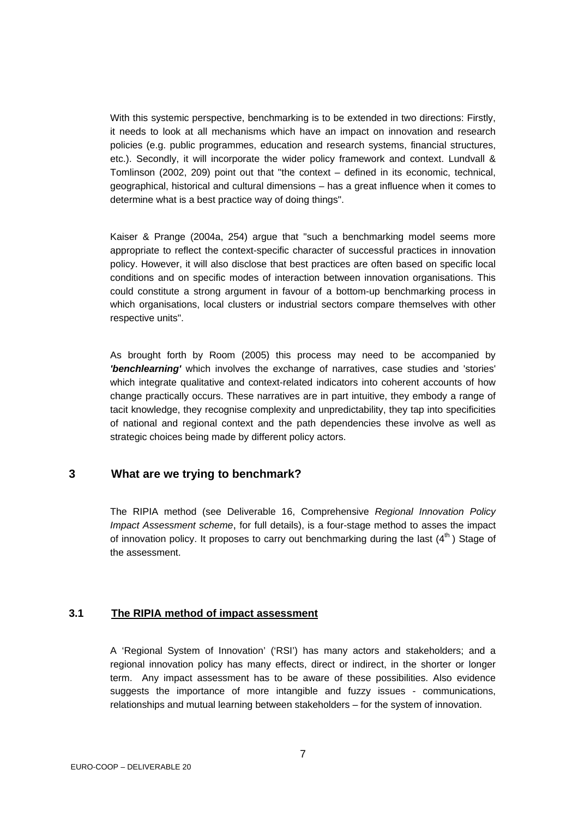<span id="page-6-0"></span>With this systemic perspective, benchmarking is to be extended in two directions: Firstly, it needs to look at all mechanisms which have an impact on innovation and research policies (e.g. public programmes, education and research systems, financial structures, etc.). Secondly, it will incorporate the wider policy framework and context. Lundvall & Tomlinson (2002, 209) point out that "the context – defined in its economic, technical, geographical, historical and cultural dimensions – has a great influence when it comes to determine what is a best practice way of doing things".

Kaiser & Prange (2004a, 254) argue that "such a benchmarking model seems more appropriate to reflect the context-specific character of successful practices in innovation policy. However, it will also disclose that best practices are often based on specific local conditions and on specific modes of interaction between innovation organisations. This could constitute a strong argument in favour of a bottom-up benchmarking process in which organisations, local clusters or industrial sectors compare themselves with other respective units".

As brought forth by Room (2005) this process may need to be accompanied by *'benchlearning'* which involves the exchange of narratives, case studies and 'stories' which integrate qualitative and context-related indicators into coherent accounts of how change practically occurs. These narratives are in part intuitive, they embody a range of tacit knowledge, they recognise complexity and unpredictability, they tap into specificities of national and regional context and the path dependencies these involve as well as strategic choices being made by different policy actors.

## **3 What are we trying to benchmark?**

The RIPIA method (see Deliverable 16, Comprehensive *Regional Innovation Policy Impact Assessment scheme*, for full details), is a four-stage method to asses the impact of innovation policy. It proposes to carry out benchmarking during the last  $(4^{th})$  Stage of the assessment.

#### **3.1 The RIPIA method of impact assessment**

A 'Regional System of Innovation' ('RSI') has many actors and stakeholders; and a regional innovation policy has many effects, direct or indirect, in the shorter or longer term. Any impact assessment has to be aware of these possibilities. Also evidence suggests the importance of more intangible and fuzzy issues - communications, relationships and mutual learning between stakeholders – for the system of innovation.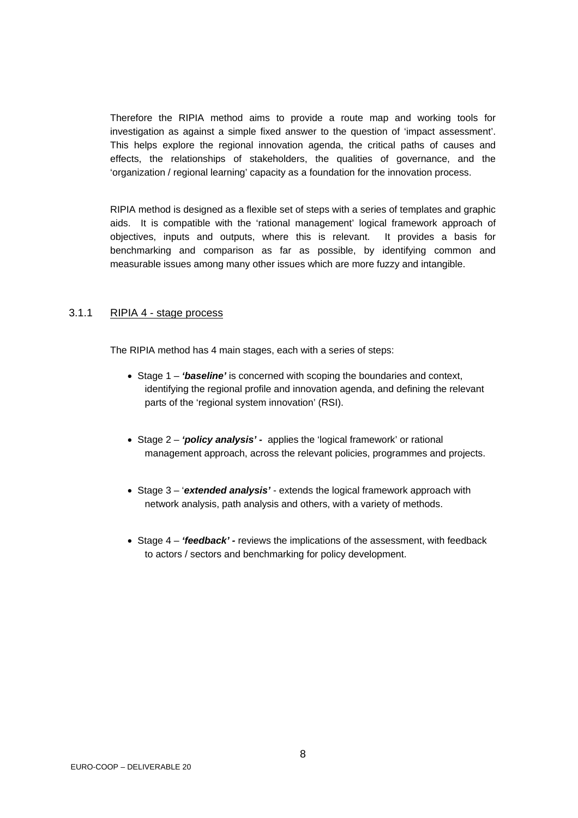<span id="page-7-0"></span>Therefore the RIPIA method aims to provide a route map and working tools for investigation as against a simple fixed answer to the question of 'impact assessment'. This helps explore the regional innovation agenda, the critical paths of causes and effects, the relationships of stakeholders, the qualities of governance, and the 'organization / regional learning' capacity as a foundation for the innovation process.

RIPIA method is designed as a flexible set of steps with a series of templates and graphic aids. It is compatible with the 'rational management' logical framework approach of objectives, inputs and outputs, where this is relevant. It provides a basis for benchmarking and comparison as far as possible, by identifying common and measurable issues among many other issues which are more fuzzy and intangible.

#### 3.1.1 RIPIA 4 - stage process

The RIPIA method has 4 main stages, each with a series of steps:

- Stage 1 *'baseline'* is concerned with scoping the boundaries and context, identifying the regional profile and innovation agenda, and defining the relevant parts of the 'regional system innovation' (RSI).
- Stage 2 *'policy analysis' -* applies the 'logical framework' or rational management approach, across the relevant policies, programmes and projects.
- Stage 3 '*extended analysis'* extends the logical framework approach with network analysis, path analysis and others, with a variety of methods.
- Stage 4 'feedback' reviews the implications of the assessment, with feedback to actors / sectors and benchmarking for policy development.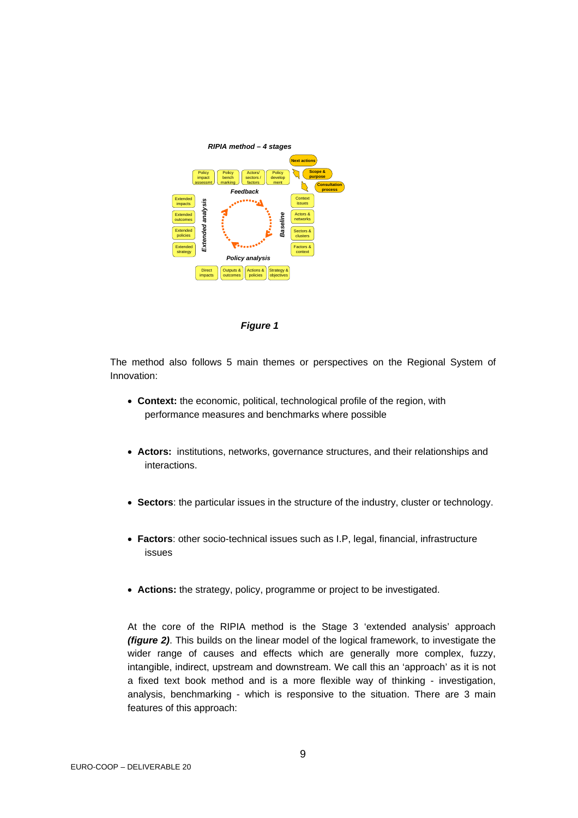



The method also follows 5 main themes or perspectives on the Regional System of Innovation:

- **Context:** the economic, political, technological profile of the region, with performance measures and benchmarks where possible
- **Actors:** institutions, networks, governance structures, and their relationships and interactions.
- **Sectors**: the particular issues in the structure of the industry, cluster or technology.
- **Factors**: other socio-technical issues such as I.P, legal, financial, infrastructure issues
- **Actions:** the strategy, policy, programme or project to be investigated.

At the core of the RIPIA method is the Stage 3 'extended analysis' approach *(figure 2)*. This builds on the linear model of the logical framework, to investigate the wider range of causes and effects which are generally more complex, fuzzy, intangible, indirect, upstream and downstream. We call this an 'approach' as it is not a fixed text book method and is a more flexible way of thinking - investigation, analysis, benchmarking - which is responsive to the situation. There are 3 main features of this approach: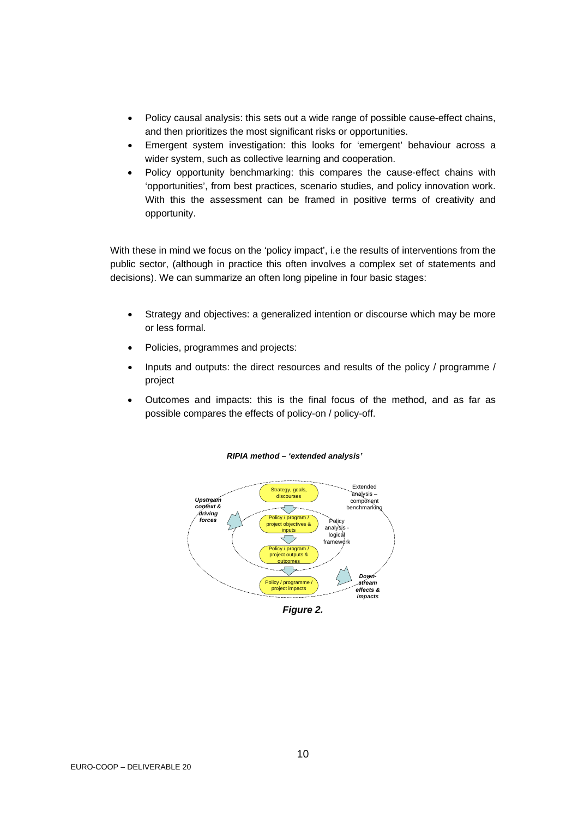- Policy causal analysis: this sets out a wide range of possible cause-effect chains, and then prioritizes the most significant risks or opportunities.
- Emergent system investigation: this looks for 'emergent' behaviour across a wider system, such as collective learning and cooperation.
- Policy opportunity benchmarking: this compares the cause-effect chains with 'opportunities', from best practices, scenario studies, and policy innovation work. With this the assessment can be framed in positive terms of creativity and opportunity.

With these in mind we focus on the 'policy impact', i.e the results of interventions from the public sector, (although in practice this often involves a complex set of statements and decisions). We can summarize an often long pipeline in four basic stages:

- Strategy and objectives: a generalized intention or discourse which may be more or less formal.
- Policies, programmes and projects:
- Inputs and outputs: the direct resources and results of the policy / programme / project
- Outcomes and impacts: this is the final focus of the method, and as far as possible compares the effects of policy-on / policy-off.



*RIPIA method – 'extended analysis'*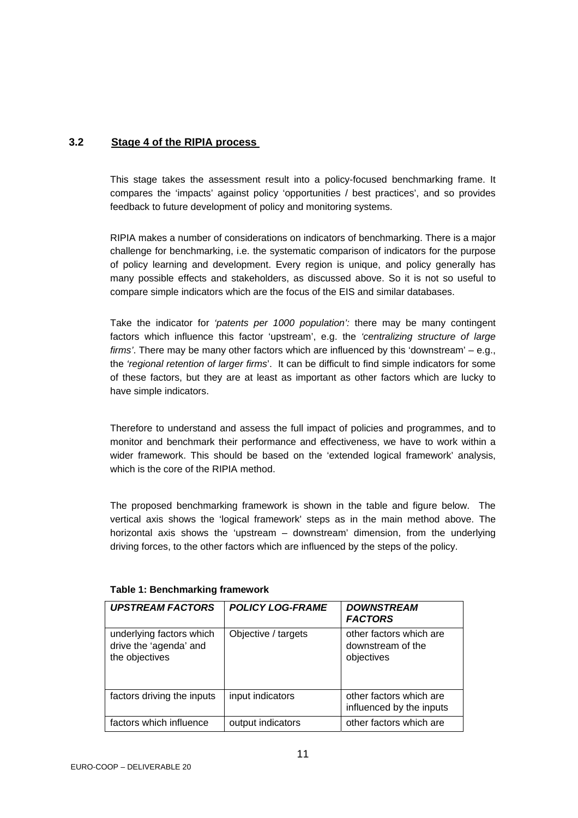## <span id="page-10-0"></span>**3.2 Stage 4 of the RIPIA process**

This stage takes the assessment result into a policy-focused benchmarking frame. It compares the 'impacts' against policy 'opportunities / best practices', and so provides feedback to future development of policy and monitoring systems.

RIPIA makes a number of considerations on indicators of benchmarking. There is a major challenge for benchmarking, i.e. the systematic comparison of indicators for the purpose of policy learning and development. Every region is unique, and policy generally has many possible effects and stakeholders, as discussed above. So it is not so useful to compare simple indicators which are the focus of the EIS and similar databases.

Take the indicator for *'patents per 1000 population':* there may be many contingent factors which influence this factor 'upstream', e.g. the *'centralizing structure of large firms'*. There may be many other factors which are influenced by this 'downstream' – e.g., the *'regional retention of larger firms*'. It can be difficult to find simple indicators for some of these factors, but they are at least as important as other factors which are lucky to have simple indicators.

Therefore to understand and assess the full impact of policies and programmes, and to monitor and benchmark their performance and effectiveness, we have to work within a wider framework. This should be based on the 'extended logical framework' analysis, which is the core of the RIPIA method.

The proposed benchmarking framework is shown in the table and figure below. The vertical axis shows the 'logical framework' steps as in the main method above. The horizontal axis shows the 'upstream – downstream' dimension, from the underlying driving forces, to the other factors which are influenced by the steps of the policy.

| <b>UPSTREAM FACTORS</b>                                              | <b>POLICY LOG-FRAME</b> | <b>DOWNSTREAM</b><br><b>FACTORS</b>                        |
|----------------------------------------------------------------------|-------------------------|------------------------------------------------------------|
| underlying factors which<br>drive the 'agenda' and<br>the objectives | Objective / targets     | other factors which are<br>downstream of the<br>objectives |
| factors driving the inputs                                           | input indicators        | other factors which are<br>influenced by the inputs        |
| factors which influence                                              | output indicators       | other factors which are                                    |

#### **Table 1: Benchmarking framework**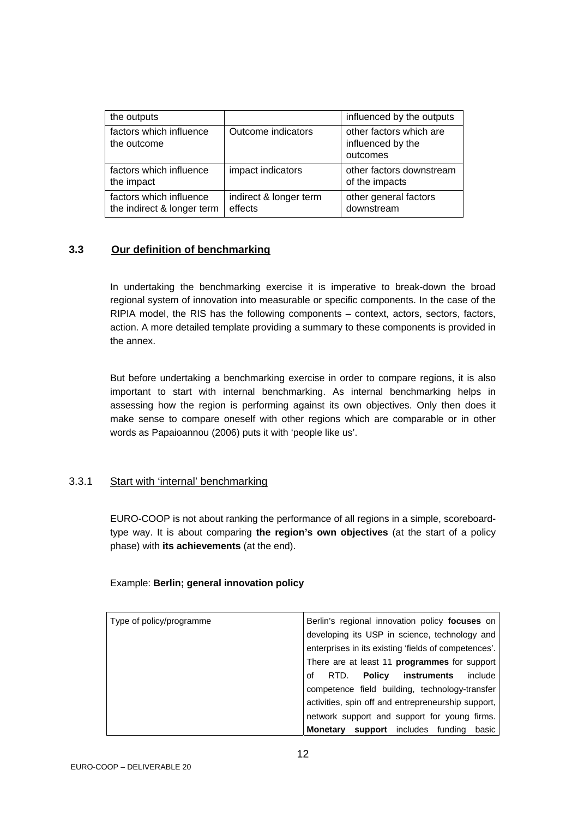<span id="page-11-0"></span>

| the outputs                                           |                                   | influenced by the outputs                                |
|-------------------------------------------------------|-----------------------------------|----------------------------------------------------------|
| factors which influence<br>the outcome                | Outcome indicators                | other factors which are<br>influenced by the<br>outcomes |
| factors which influence<br>the impact                 | impact indicators                 | other factors downstream<br>of the impacts               |
| factors which influence<br>the indirect & longer term | indirect & longer term<br>effects | other general factors<br>downstream                      |

## **3.3 Our definition of benchmarking**

In undertaking the benchmarking exercise it is imperative to break-down the broad regional system of innovation into measurable or specific components. In the case of the RIPIA model, the RIS has the following components – context, actors, sectors, factors, action. A more detailed template providing a summary to these components is provided in the annex.

But before undertaking a benchmarking exercise in order to compare regions, it is also important to start with internal benchmarking. As internal benchmarking helps in assessing how the region is performing against its own objectives. Only then does it make sense to compare oneself with other regions which are comparable or in other words as Papaioannou (2006) puts it with 'people like us'.

#### 3.3.1 Start with 'internal' benchmarking

EURO-COOP is not about ranking the performance of all regions in a simple, scoreboardtype way. It is about comparing **the region's own objectives** (at the start of a policy phase) with **its achievements** (at the end).

#### Example: **Berlin; general innovation policy**

| Berlin's regional innovation policy focuses on       |
|------------------------------------------------------|
| developing its USP in science, technology and        |
| enterprises in its existing 'fields of competences'. |
| There are at least 11 programmes for support         |
| RTD. Policy instruments<br>include<br>οf             |
| competence field building, technology-transfer       |
| activities, spin off and entrepreneurship support,   |
| network support and support for young firms.         |
| <b>Monetary support</b> includes funding<br>basic    |
|                                                      |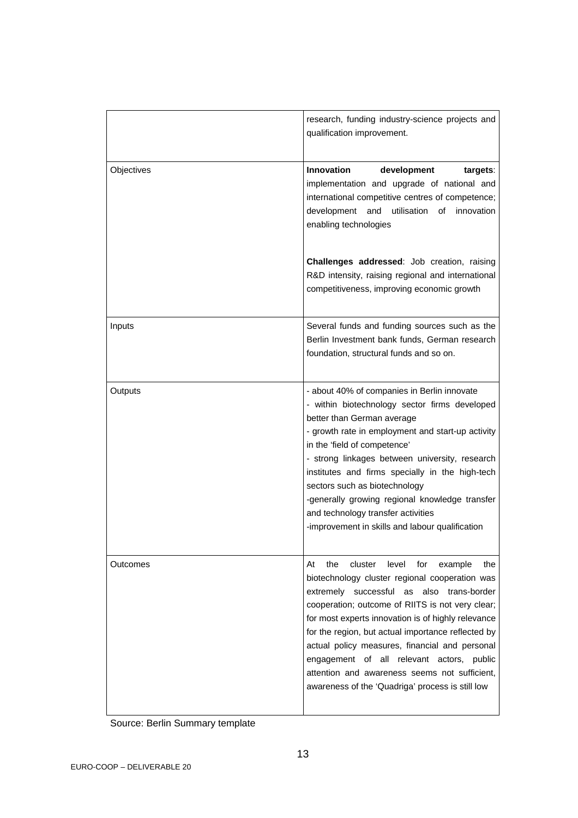|            | research, funding industry-science projects and<br>qualification improvement.                                                                                                                                                                                                                                                                                                                                                                                                                                                      |
|------------|------------------------------------------------------------------------------------------------------------------------------------------------------------------------------------------------------------------------------------------------------------------------------------------------------------------------------------------------------------------------------------------------------------------------------------------------------------------------------------------------------------------------------------|
| Objectives | development<br>Innovation<br>targets:<br>implementation and upgrade of national and<br>international competitive centres of competence;<br>development<br>utilisation of<br>and<br>innovation<br>enabling technologies                                                                                                                                                                                                                                                                                                             |
|            | Challenges addressed: Job creation, raising<br>R&D intensity, raising regional and international<br>competitiveness, improving economic growth                                                                                                                                                                                                                                                                                                                                                                                     |
| Inputs     | Several funds and funding sources such as the<br>Berlin Investment bank funds, German research<br>foundation, structural funds and so on.                                                                                                                                                                                                                                                                                                                                                                                          |
| Outputs    | - about 40% of companies in Berlin innovate<br>- within biotechnology sector firms developed<br>better than German average<br>- growth rate in employment and start-up activity<br>in the 'field of competence'<br>- strong linkages between university, research<br>institutes and firms specially in the high-tech<br>sectors such as biotechnology<br>-generally growing regional knowledge transfer<br>and technology transfer activities<br>-improvement in skills and labour qualification                                   |
| Outcomes   | At<br>the<br>level<br>for<br>cluster<br>the<br>example<br>biotechnology cluster regional cooperation was<br>extremely successful<br>also<br>as<br>trans-border<br>cooperation; outcome of RIITS is not very clear;<br>for most experts innovation is of highly relevance<br>for the region, but actual importance reflected by<br>actual policy measures, financial and personal<br>engagement of all relevant actors, public<br>attention and awareness seems not sufficient,<br>awareness of the 'Quadriga' process is still low |

Source: Berlin Summary template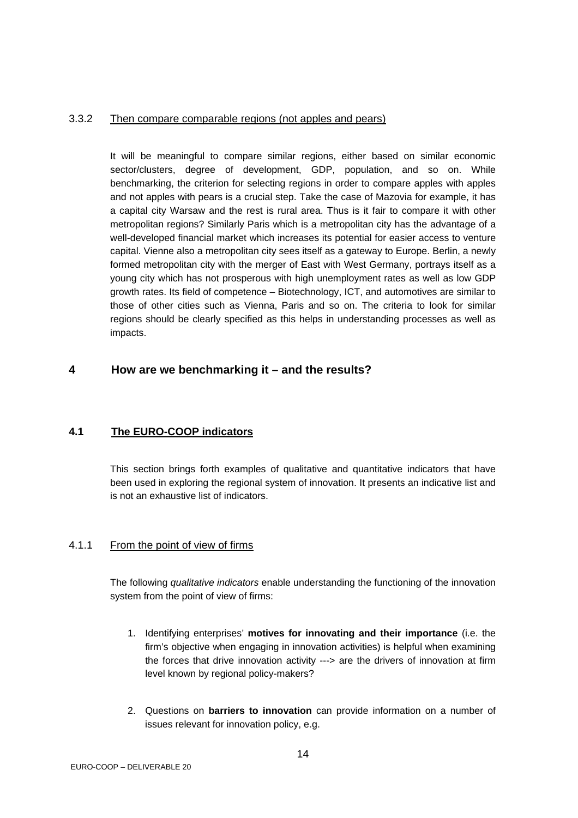#### <span id="page-13-0"></span>3.3.2 Then compare comparable regions (not apples and pears)

It will be meaningful to compare similar regions, either based on similar economic sector/clusters, degree of development, GDP, population, and so on. While benchmarking, the criterion for selecting regions in order to compare apples with apples and not apples with pears is a crucial step. Take the case of Mazovia for example, it has a capital city Warsaw and the rest is rural area. Thus is it fair to compare it with other metropolitan regions? Similarly Paris which is a metropolitan city has the advantage of a well-developed financial market which increases its potential for easier access to venture capital. Vienne also a metropolitan city sees itself as a gateway to Europe. Berlin, a newly formed metropolitan city with the merger of East with West Germany, portrays itself as a young city which has not prosperous with high unemployment rates as well as low GDP growth rates. Its field of competence – Biotechnology, ICT, and automotives are similar to those of other cities such as Vienna, Paris and so on. The criteria to look for similar regions should be clearly specified as this helps in understanding processes as well as impacts.

## **4 How are we benchmarking it – and the results?**

## **4.1 The EURO-COOP indicators**

This section brings forth examples of qualitative and quantitative indicators that have been used in exploring the regional system of innovation. It presents an indicative list and is not an exhaustive list of indicators.

## 4.1.1 From the point of view of firms

The following *qualitative indicators* enable understanding the functioning of the innovation system from the point of view of firms:

- 1. Identifying enterprises' **motives for innovating and their importance** (i.e. the firm's objective when engaging in innovation activities) is helpful when examining the forces that drive innovation activity ---> are the drivers of innovation at firm level known by regional policy-makers?
- 2. Questions on **barriers to innovation** can provide information on a number of issues relevant for innovation policy, e.g.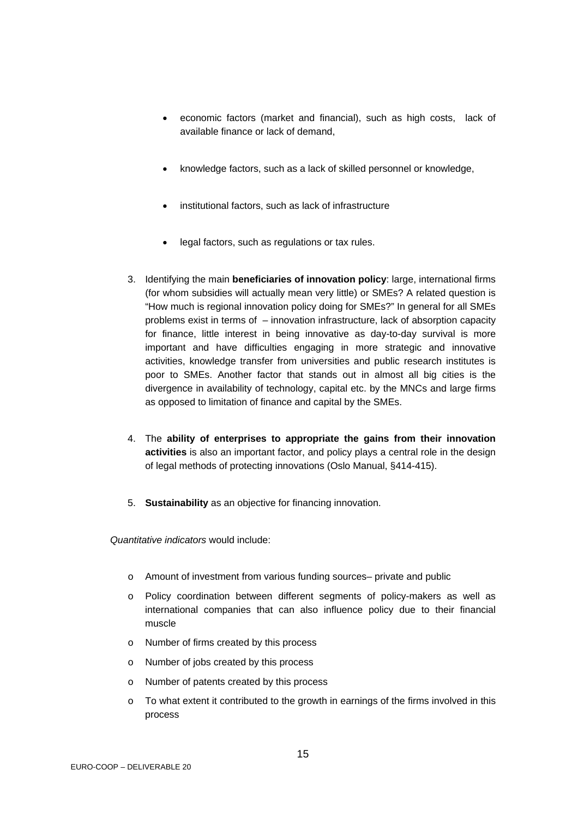- economic factors (market and financial), such as high costs, lack of available finance or lack of demand,
- knowledge factors, such as a lack of skilled personnel or knowledge,
- institutional factors, such as lack of infrastructure
- legal factors, such as regulations or tax rules.
- 3. Identifying the main **beneficiaries of innovation policy**: large, international firms (for whom subsidies will actually mean very little) or SMEs? A related question is "How much is regional innovation policy doing for SMEs?" In general for all SMEs problems exist in terms of – innovation infrastructure, lack of absorption capacity for finance, little interest in being innovative as day-to-day survival is more important and have difficulties engaging in more strategic and innovative activities, knowledge transfer from universities and public research institutes is poor to SMEs. Another factor that stands out in almost all big cities is the divergence in availability of technology, capital etc. by the MNCs and large firms as opposed to limitation of finance and capital by the SMEs.
- 4. The **ability of enterprises to appropriate the gains from their innovation activities** is also an important factor, and policy plays a central role in the design of legal methods of protecting innovations (Oslo Manual, §414-415).
- 5. **Sustainability** as an objective for financing innovation.

*Quantitative indicators* would include:

- o Amount of investment from various funding sources– private and public
- o Policy coordination between different segments of policy-makers as well as international companies that can also influence policy due to their financial muscle
- o Number of firms created by this process
- o Number of jobs created by this process
- o Number of patents created by this process
- $\circ$  To what extent it contributed to the growth in earnings of the firms involved in this process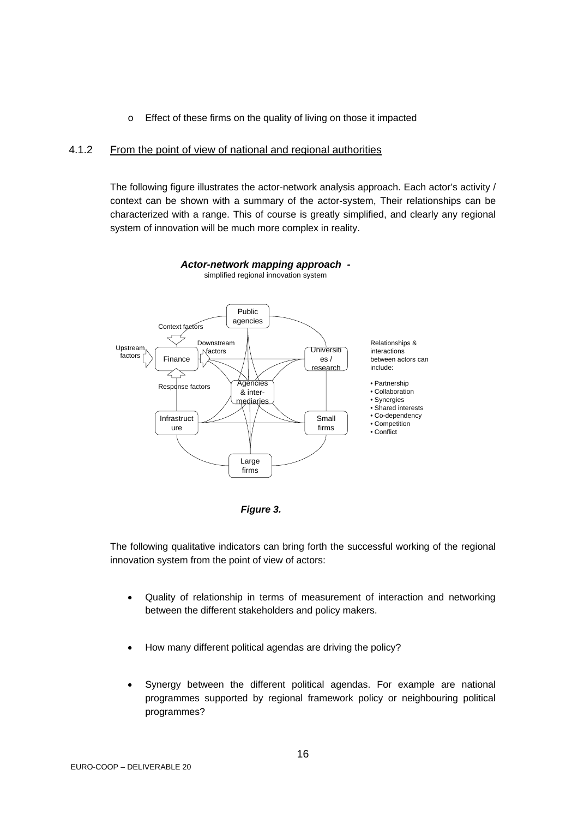o Effect of these firms on the quality of living on those it impacted

#### <span id="page-15-0"></span>4.1.2 From the point of view of national and regional authorities

The following figure illustrates the actor-network analysis approach. Each actor's activity / context can be shown with a summary of the actor-system, Their relationships can be characterized with a range. This of course is greatly simplified, and clearly any regional system of innovation will be much more complex in reality.



*Actor-network mapping approach*  simplified regional innovation system

*Figure 3.* 

The following qualitative indicators can bring forth the successful working of the regional innovation system from the point of view of actors:

- Quality of relationship in terms of measurement of interaction and networking between the different stakeholders and policy makers.
- How many different political agendas are driving the policy?
- Synergy between the different political agendas. For example are national programmes supported by regional framework policy or neighbouring political programmes?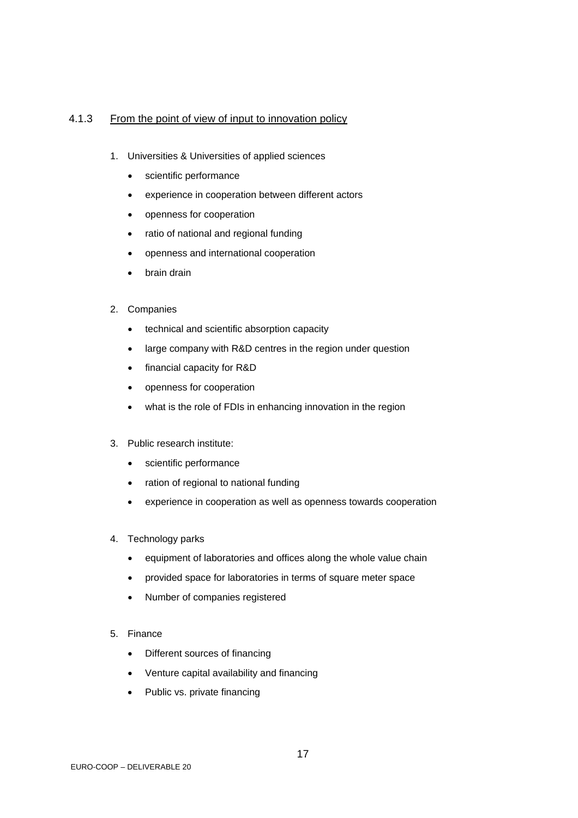## <span id="page-16-0"></span>4.1.3 From the point of view of input to innovation policy

- 1. Universities & Universities of applied sciences
	- scientific performance
	- experience in cooperation between different actors
	- openness for cooperation
	- ratio of national and regional funding
	- openness and international cooperation
	- brain drain
- 2. Companies
	- technical and scientific absorption capacity
	- large company with R&D centres in the region under question
	- financial capacity for R&D
	- openness for cooperation
	- what is the role of FDIs in enhancing innovation in the region
- 3. Public research institute:
	- scientific performance
	- ration of regional to national funding
	- experience in cooperation as well as openness towards cooperation
- 4. Technology parks
	- equipment of laboratories and offices along the whole value chain
	- provided space for laboratories in terms of square meter space
	- Number of companies registered
- 5. Finance
	- Different sources of financing
	- Venture capital availability and financing
	- Public vs. private financing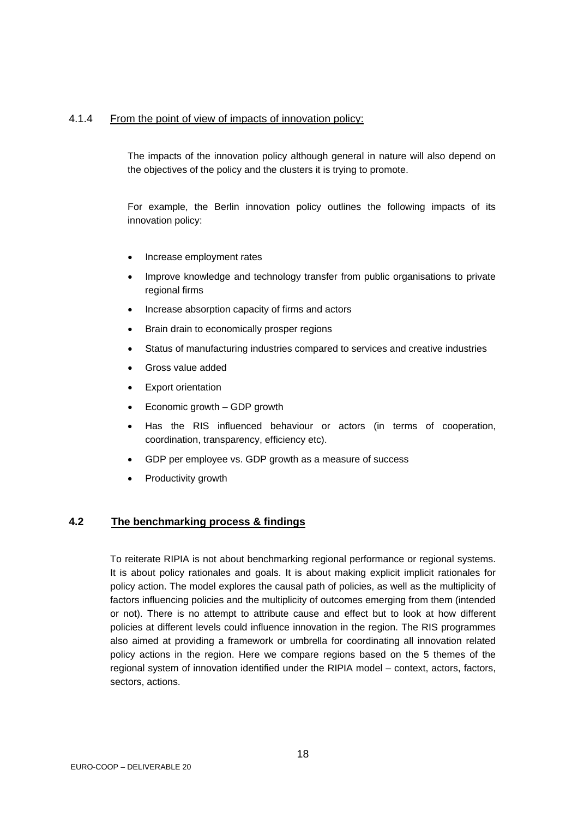### <span id="page-17-0"></span>4.1.4 From the point of view of impacts of innovation policy:

The impacts of the innovation policy although general in nature will also depend on the objectives of the policy and the clusters it is trying to promote.

For example, the Berlin innovation policy outlines the following impacts of its innovation policy:

- Increase employment rates
- Improve knowledge and technology transfer from public organisations to private regional firms
- Increase absorption capacity of firms and actors
- Brain drain to economically prosper regions
- Status of manufacturing industries compared to services and creative industries
- Gross value added
- **Export orientation**
- Economic growth GDP growth
- Has the RIS influenced behaviour or actors (in terms of cooperation, coordination, transparency, efficiency etc).
- GDP per employee vs. GDP growth as a measure of success
- Productivity growth

#### **4.2 The benchmarking process & findings**

To reiterate RIPIA is not about benchmarking regional performance or regional systems. It is about policy rationales and goals. It is about making explicit implicit rationales for policy action. The model explores the causal path of policies, as well as the multiplicity of factors influencing policies and the multiplicity of outcomes emerging from them (intended or not). There is no attempt to attribute cause and effect but to look at how different policies at different levels could influence innovation in the region. The RIS programmes also aimed at providing a framework or umbrella for coordinating all innovation related policy actions in the region. Here we compare regions based on the 5 themes of the regional system of innovation identified under the RIPIA model – context, actors, factors, sectors, actions.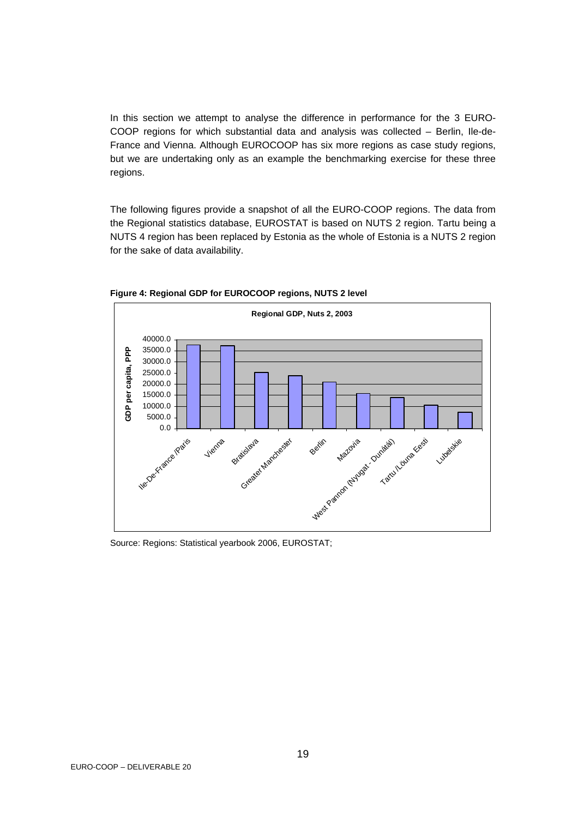In this section we attempt to analyse the difference in performance for the 3 EURO-COOP regions for which substantial data and analysis was collected – Berlin, Ile-de-France and Vienna. Although EUROCOOP has six more regions as case study regions, but we are undertaking only as an example the benchmarking exercise for these three regions.

The following figures provide a snapshot of all the EURO-COOP regions. The data from the Regional statistics database, EUROSTAT is based on NUTS 2 region. Tartu being a NUTS 4 region has been replaced by Estonia as the whole of Estonia is a NUTS 2 region for the sake of data availability.



**Figure 4: Regional GDP for EUROCOOP regions, NUTS 2 level** 

Source: Regions: Statistical yearbook 2006, EUROSTAT;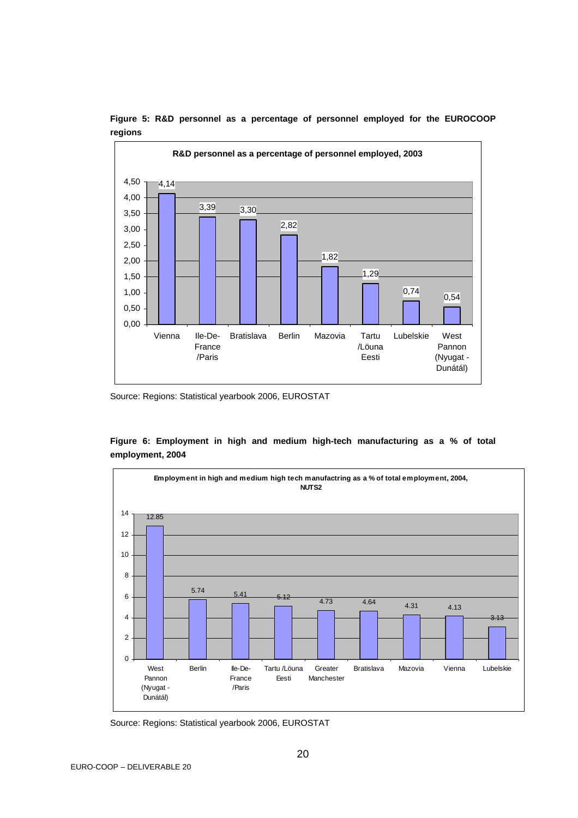

**Figure 5: R&D personnel as a percentage of personnel employed for the EUROCOOP regions** 

Source: Regions: Statistical yearbook 2006, EUROSTAT

**Figure 6: Employment in high and medium high-tech manufacturing as a % of total employment, 2004** 



Source: Regions: Statistical yearbook 2006, EUROSTAT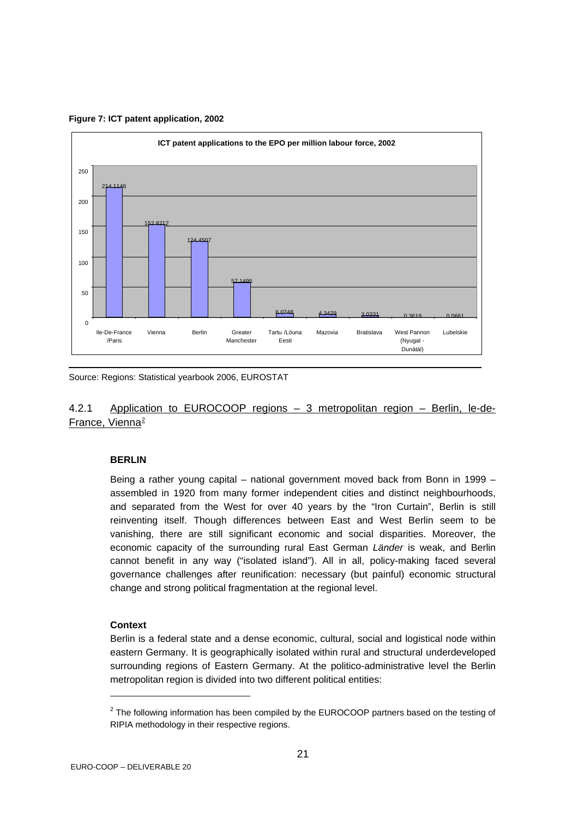

<span id="page-20-0"></span>**Figure 7: ICT patent application, 2002** 

Source: Regions: Statistical yearbook 2006, EUROSTAT

## 4.2.1 Application to EUROCOOP regions – 3 metropolitan region – Berlin, le-de-France, Vienna<sup>[2](#page-20-1)</sup>

#### **BERLIN**

Being a rather young capital – national government moved back from Bonn in 1999 – assembled in 1920 from many former independent cities and distinct neighbourhoods, and separated from the West for over 40 years by the "Iron Curtain", Berlin is still reinventing itself. Though differences between East and West Berlin seem to be vanishing, there are still significant economic and social disparities. Moreover, the economic capacity of the surrounding rural East German *Länder* is weak, and Berlin cannot benefit in any way ("isolated island"). All in all, policy-making faced several governance challenges after reunification: necessary (but painful) economic structural change and strong political fragmentation at the regional level.

#### **Context**

l

Berlin is a federal state and a dense economic, cultural, social and logistical node within eastern Germany. It is geographically isolated within rural and structural underdeveloped surrounding regions of Eastern Germany. At the politico-administrative level the Berlin metropolitan region is divided into two different political entities:

<span id="page-20-1"></span> $2$  The following information has been compiled by the EUROCOOP partners based on the testing of RIPIA methodology in their respective regions.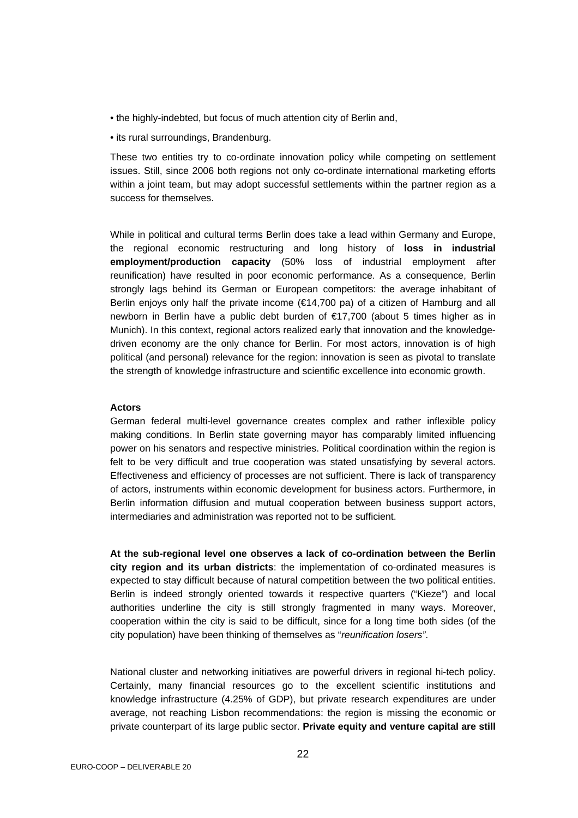- the highly-indebted, but focus of much attention city of Berlin and,
- its rural surroundings, Brandenburg.

These two entities try to co-ordinate innovation policy while competing on settlement issues. Still, since 2006 both regions not only co-ordinate international marketing efforts within a joint team, but may adopt successful settlements within the partner region as a success for themselves.

While in political and cultural terms Berlin does take a lead within Germany and Europe, the regional economic restructuring and long history of **loss in industrial employment/production capacity** (50% loss of industrial employment after reunification) have resulted in poor economic performance. As a consequence, Berlin strongly lags behind its German or European competitors: the average inhabitant of Berlin enjoys only half the private income (€14,700 pa) of a citizen of Hamburg and all newborn in Berlin have a public debt burden of €17,700 (about 5 times higher as in Munich). In this context, regional actors realized early that innovation and the knowledgedriven economy are the only chance for Berlin. For most actors, innovation is of high political (and personal) relevance for the region: innovation is seen as pivotal to translate the strength of knowledge infrastructure and scientific excellence into economic growth.

#### **Actors**

German federal multi-level governance creates complex and rather inflexible policy making conditions. In Berlin state governing mayor has comparably limited influencing power on his senators and respective ministries. Political coordination within the region is felt to be very difficult and true cooperation was stated unsatisfying by several actors. Effectiveness and efficiency of processes are not sufficient. There is lack of transparency of actors, instruments within economic development for business actors. Furthermore, in Berlin information diffusion and mutual cooperation between business support actors, intermediaries and administration was reported not to be sufficient.

**At the sub-regional level one observes a lack of co-ordination between the Berlin city region and its urban districts**: the implementation of co-ordinated measures is expected to stay difficult because of natural competition between the two political entities. Berlin is indeed strongly oriented towards it respective quarters ("Kieze") and local authorities underline the city is still strongly fragmented in many ways. Moreover, cooperation within the city is said to be difficult, since for a long time both sides (of the city population) have been thinking of themselves as "*reunification losers"*.

National cluster and networking initiatives are powerful drivers in regional hi-tech policy. Certainly, many financial resources go to the excellent scientific institutions and knowledge infrastructure (4.25% of GDP), but private research expenditures are under average, not reaching Lisbon recommendations: the region is missing the economic or private counterpart of its large public sector. **Private equity and venture capital are still**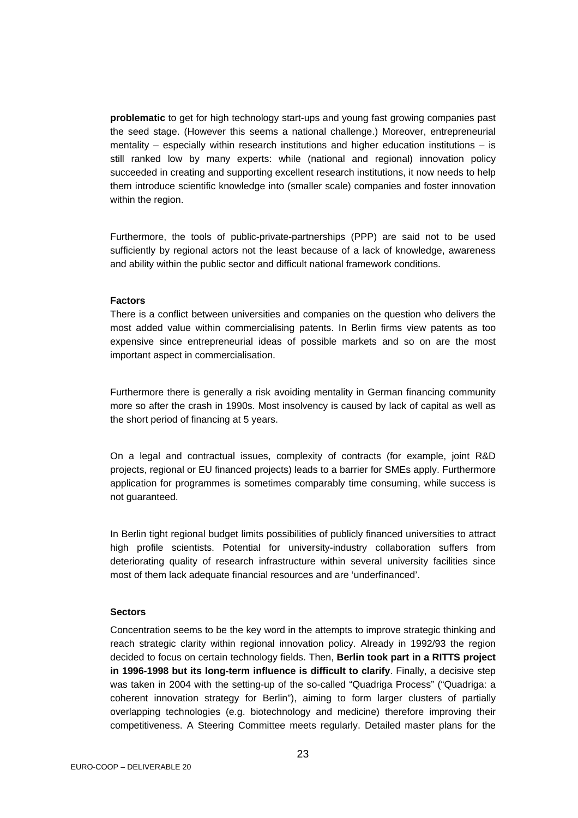**problematic** to get for high technology start-ups and young fast growing companies past the seed stage. (However this seems a national challenge.) Moreover, entrepreneurial mentality – especially within research institutions and higher education institutions – is still ranked low by many experts: while (national and regional) innovation policy succeeded in creating and supporting excellent research institutions, it now needs to help them introduce scientific knowledge into (smaller scale) companies and foster innovation within the region.

Furthermore, the tools of public-private-partnerships (PPP) are said not to be used sufficiently by regional actors not the least because of a lack of knowledge, awareness and ability within the public sector and difficult national framework conditions.

#### **Factors**

There is a conflict between universities and companies on the question who delivers the most added value within commercialising patents. In Berlin firms view patents as too expensive since entrepreneurial ideas of possible markets and so on are the most important aspect in commercialisation.

Furthermore there is generally a risk avoiding mentality in German financing community more so after the crash in 1990s. Most insolvency is caused by lack of capital as well as the short period of financing at 5 years.

On a legal and contractual issues, complexity of contracts (for example, joint R&D projects, regional or EU financed projects) leads to a barrier for SMEs apply. Furthermore application for programmes is sometimes comparably time consuming, while success is not guaranteed.

In Berlin tight regional budget limits possibilities of publicly financed universities to attract high profile scientists. Potential for university-industry collaboration suffers from deteriorating quality of research infrastructure within several university facilities since most of them lack adequate financial resources and are 'underfinanced'.

### **Sectors**

Concentration seems to be the key word in the attempts to improve strategic thinking and reach strategic clarity within regional innovation policy. Already in 1992/93 the region decided to focus on certain technology fields. Then, **Berlin took part in a RITTS project in 1996-1998 but its long-term influence is difficult to clarify**. Finally, a decisive step was taken in 2004 with the setting-up of the so-called "Quadriga Process" ("Quadriga: a coherent innovation strategy for Berlin"), aiming to form larger clusters of partially overlapping technologies (e.g. biotechnology and medicine) therefore improving their competitiveness. A Steering Committee meets regularly. Detailed master plans for the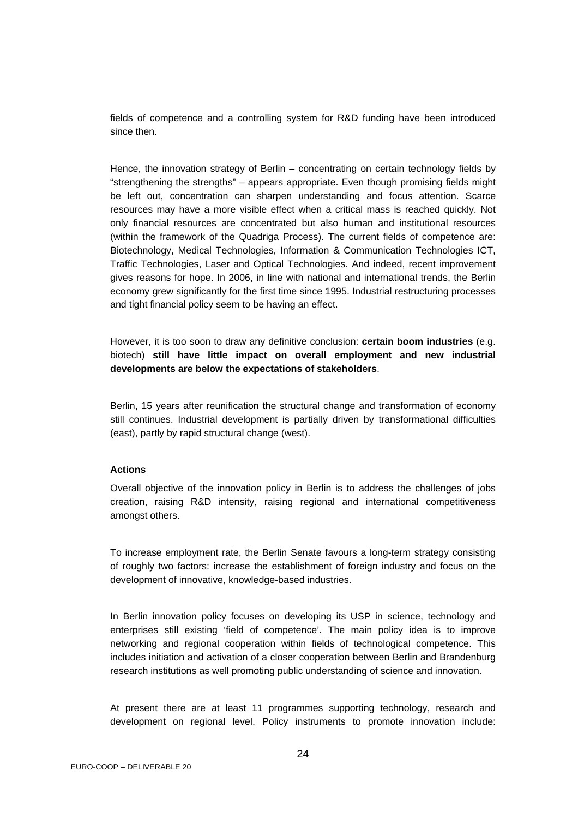fields of competence and a controlling system for R&D funding have been introduced since then.

Hence, the innovation strategy of Berlin – concentrating on certain technology fields by "strengthening the strengths" – appears appropriate. Even though promising fields might be left out, concentration can sharpen understanding and focus attention. Scarce resources may have a more visible effect when a critical mass is reached quickly. Not only financial resources are concentrated but also human and institutional resources (within the framework of the Quadriga Process). The current fields of competence are: Biotechnology, Medical Technologies, Information & Communication Technologies ICT, Traffic Technologies, Laser and Optical Technologies. And indeed, recent improvement gives reasons for hope. In 2006, in line with national and international trends, the Berlin economy grew significantly for the first time since 1995. Industrial restructuring processes and tight financial policy seem to be having an effect.

However, it is too soon to draw any definitive conclusion: **certain boom industries** (e.g. biotech) **still have little impact on overall employment and new industrial developments are below the expectations of stakeholders**.

Berlin, 15 years after reunification the structural change and transformation of economy still continues. Industrial development is partially driven by transformational difficulties (east), partly by rapid structural change (west).

#### **Actions**

Overall objective of the innovation policy in Berlin is to address the challenges of jobs creation, raising R&D intensity, raising regional and international competitiveness amongst others.

To increase employment rate, the Berlin Senate favours a long-term strategy consisting of roughly two factors: increase the establishment of foreign industry and focus on the development of innovative, knowledge-based industries.

In Berlin innovation policy focuses on developing its USP in science, technology and enterprises still existing 'field of competence'. The main policy idea is to improve networking and regional cooperation within fields of technological competence. This includes initiation and activation of a closer cooperation between Berlin and Brandenburg research institutions as well promoting public understanding of science and innovation.

At present there are at least 11 programmes supporting technology, research and development on regional level. Policy instruments to promote innovation include: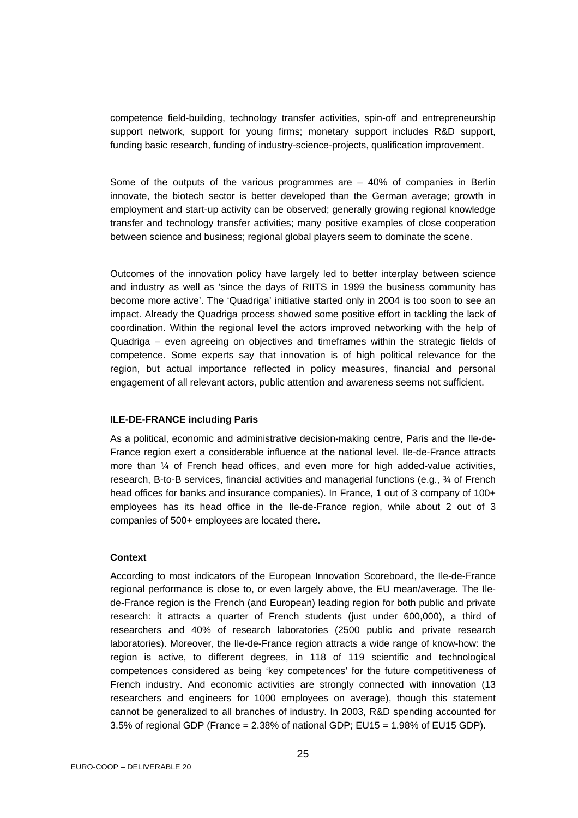competence field-building, technology transfer activities, spin-off and entrepreneurship support network, support for young firms; monetary support includes R&D support, funding basic research, funding of industry-science-projects, qualification improvement.

Some of the outputs of the various programmes are  $-40\%$  of companies in Berlin innovate, the biotech sector is better developed than the German average; growth in employment and start-up activity can be observed; generally growing regional knowledge transfer and technology transfer activities; many positive examples of close cooperation between science and business; regional global players seem to dominate the scene.

Outcomes of the innovation policy have largely led to better interplay between science and industry as well as 'since the days of RIITS in 1999 the business community has become more active'. The 'Quadriga' initiative started only in 2004 is too soon to see an impact. Already the Quadriga process showed some positive effort in tackling the lack of coordination. Within the regional level the actors improved networking with the help of Quadriga – even agreeing on objectives and timeframes within the strategic fields of competence. Some experts say that innovation is of high political relevance for the region, but actual importance reflected in policy measures, financial and personal engagement of all relevant actors, public attention and awareness seems not sufficient.

#### **ILE-DE-FRANCE including Paris**

As a political, economic and administrative decision-making centre, Paris and the Ile-de-France region exert a considerable influence at the national level. Ile-de-France attracts more than  $\frac{1}{4}$  of French head offices, and even more for high added-value activities, research, B-to-B services, financial activities and managerial functions (e.g., ¾ of French head offices for banks and insurance companies). In France, 1 out of 3 company of 100+ employees has its head office in the Ile-de-France region, while about 2 out of 3 companies of 500+ employees are located there.

#### **Context**

According to most indicators of the European Innovation Scoreboard, the Ile-de-France regional performance is close to, or even largely above, the EU mean/average. The Ilede-France region is the French (and European) leading region for both public and private research: it attracts a quarter of French students (just under 600,000), a third of researchers and 40% of research laboratories (2500 public and private research laboratories). Moreover, the Ile-de-France region attracts a wide range of know-how: the region is active, to different degrees, in 118 of 119 scientific and technological competences considered as being 'key competences' for the future competitiveness of French industry. And economic activities are strongly connected with innovation (13 researchers and engineers for 1000 employees on average), though this statement cannot be generalized to all branches of industry. In 2003, R&D spending accounted for 3.5% of regional GDP (France = 2.38% of national GDP; EU15 = 1.98% of EU15 GDP).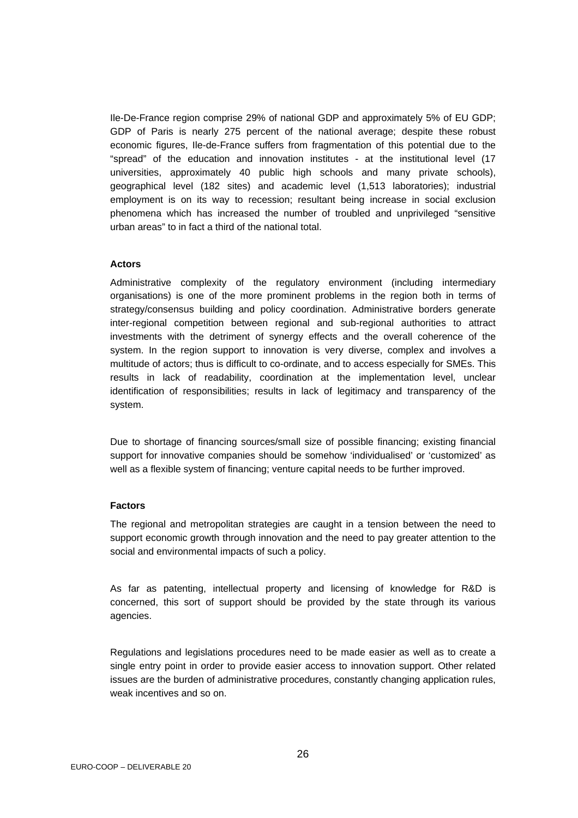Ile-De-France region comprise 29% of national GDP and approximately 5% of EU GDP; GDP of Paris is nearly 275 percent of the national average; despite these robust economic figures, Ile-de-France suffers from fragmentation of this potential due to the "spread" of the education and innovation institutes - at the institutional level (17 universities, approximately 40 public high schools and many private schools), geographical level (182 sites) and academic level (1,513 laboratories); industrial employment is on its way to recession; resultant being increase in social exclusion phenomena which has increased the number of troubled and unprivileged "sensitive urban areas" to in fact a third of the national total.

#### **Actors**

Administrative complexity of the regulatory environment (including intermediary organisations) is one of the more prominent problems in the region both in terms of strategy/consensus building and policy coordination. Administrative borders generate inter-regional competition between regional and sub-regional authorities to attract investments with the detriment of synergy effects and the overall coherence of the system. In the region support to innovation is very diverse, complex and involves a multitude of actors; thus is difficult to co-ordinate, and to access especially for SMEs. This results in lack of readability, coordination at the implementation level, unclear identification of responsibilities; results in lack of legitimacy and transparency of the system.

Due to shortage of financing sources/small size of possible financing; existing financial support for innovative companies should be somehow 'individualised' or 'customized' as well as a flexible system of financing; venture capital needs to be further improved.

#### **Factors**

The regional and metropolitan strategies are caught in a tension between the need to support economic growth through innovation and the need to pay greater attention to the social and environmental impacts of such a policy.

As far as patenting, intellectual property and licensing of knowledge for R&D is concerned, this sort of support should be provided by the state through its various agencies.

Regulations and legislations procedures need to be made easier as well as to create a single entry point in order to provide easier access to innovation support. Other related issues are the burden of administrative procedures, constantly changing application rules, weak incentives and so on.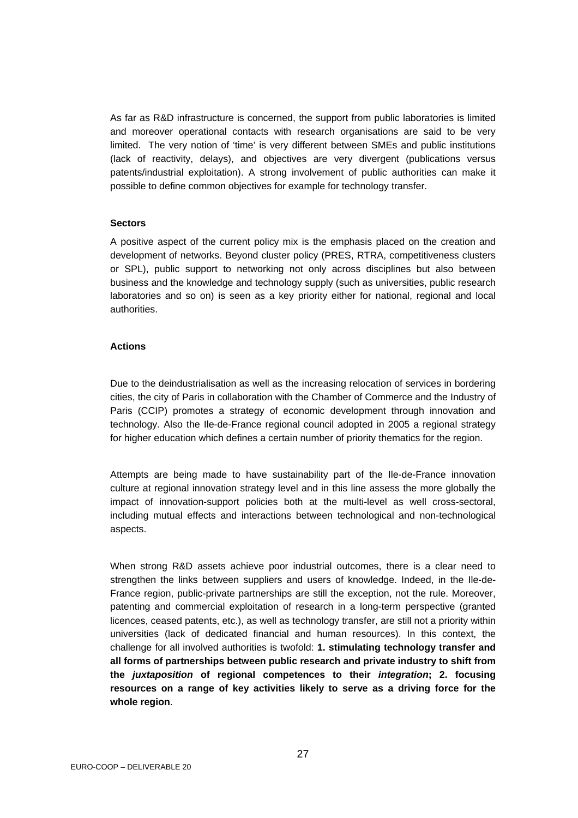As far as R&D infrastructure is concerned, the support from public laboratories is limited and moreover operational contacts with research organisations are said to be very limited. The very notion of 'time' is very different between SMEs and public institutions (lack of reactivity, delays), and objectives are very divergent (publications versus patents/industrial exploitation). A strong involvement of public authorities can make it possible to define common objectives for example for technology transfer.

#### **Sectors**

A positive aspect of the current policy mix is the emphasis placed on the creation and development of networks. Beyond cluster policy (PRES, RTRA, competitiveness clusters or SPL), public support to networking not only across disciplines but also between business and the knowledge and technology supply (such as universities, public research laboratories and so on) is seen as a key priority either for national, regional and local authorities.

#### **Actions**

Due to the deindustrialisation as well as the increasing relocation of services in bordering cities, the city of Paris in collaboration with the Chamber of Commerce and the Industry of Paris (CCIP) promotes a strategy of economic development through innovation and technology. Also the Ile-de-France regional council adopted in 2005 a regional strategy for higher education which defines a certain number of priority thematics for the region.

Attempts are being made to have sustainability part of the Ile-de-France innovation culture at regional innovation strategy level and in this line assess the more globally the impact of innovation-support policies both at the multi-level as well cross-sectoral, including mutual effects and interactions between technological and non-technological aspects.

When strong R&D assets achieve poor industrial outcomes, there is a clear need to strengthen the links between suppliers and users of knowledge. Indeed, in the Ile-de-France region, public-private partnerships are still the exception, not the rule. Moreover, patenting and commercial exploitation of research in a long-term perspective (granted licences, ceased patents, etc.), as well as technology transfer, are still not a priority within universities (lack of dedicated financial and human resources). In this context, the challenge for all involved authorities is twofold: **1. stimulating technology transfer and all forms of partnerships between public research and private industry to shift from the** *juxtaposition* **of regional competences to their** *integration***; 2. focusing resources on a range of key activities likely to serve as a driving force for the whole region**.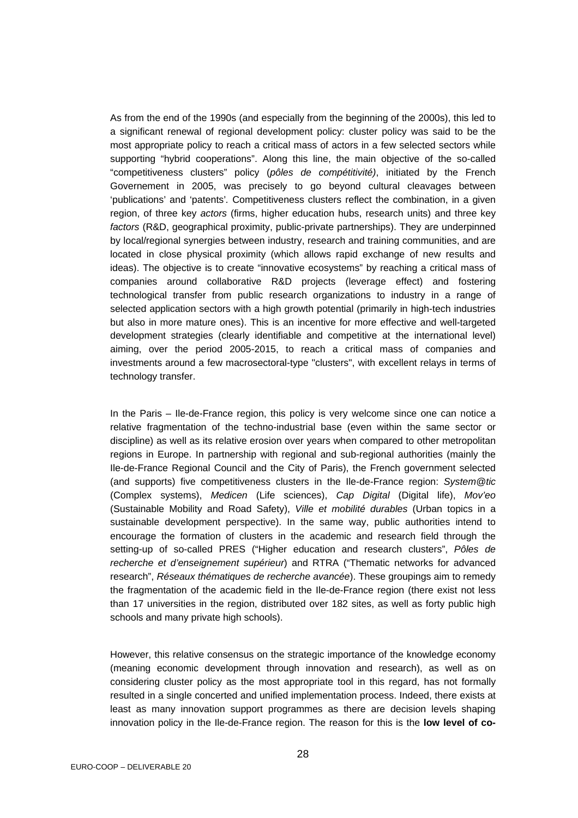As from the end of the 1990s (and especially from the beginning of the 2000s), this led to a significant renewal of regional development policy: cluster policy was said to be the most appropriate policy to reach a critical mass of actors in a few selected sectors while supporting "hybrid cooperations". Along this line, the main objective of the so-called "competitiveness clusters" policy (*pôles de compétitivité)*, initiated by the French Governement in 2005, was precisely to go beyond cultural cleavages between 'publications' and 'patents'*.* Competitiveness clusters reflect the combination, in a given region, of three key *actors* (firms, higher education hubs, research units) and three key *factors* (R&D, geographical proximity, public-private partnerships). They are underpinned by local/regional synergies between industry, research and training communities, and are located in close physical proximity (which allows rapid exchange of new results and ideas). The objective is to create "innovative ecosystems" by reaching a critical mass of companies around collaborative R&D projects (leverage effect) and fostering technological transfer from public research organizations to industry in a range of selected application sectors with a high growth potential (primarily in high-tech industries but also in more mature ones). This is an incentive for more effective and well-targeted development strategies (clearly identifiable and competitive at the international level) aiming, over the period 2005-2015, to reach a critical mass of companies and investments around a few macrosectoral-type "clusters", with excellent relays in terms of technology transfer.

In the Paris – Ile-de-France region, this policy is very welcome since one can notice a relative fragmentation of the techno-industrial base (even within the same sector or discipline) as well as its relative erosion over years when compared to other metropolitan regions in Europe. In partnership with regional and sub-regional authorities (mainly the Ile-de-France Regional Council and the City of Paris), the French government selected (and supports) five competitiveness clusters in the Ile-de-France region: *System@tic*  (Complex systems), *Medicen* (Life sciences), *Cap Digital* (Digital life), *Mov'eo*  (Sustainable Mobility and Road Safety), *Ville et mobilité durables* (Urban topics in a sustainable development perspective). In the same way, public authorities intend to encourage the formation of clusters in the academic and research field through the setting-up of so-called PRES ("Higher education and research clusters", *Pôles de recherche et d'enseignement supérieur*) and RTRA ("Thematic networks for advanced research", *Réseaux thématiques de recherche avancée*). These groupings aim to remedy the fragmentation of the academic field in the Ile-de-France region (there exist not less than 17 universities in the region, distributed over 182 sites, as well as forty public high schools and many private high schools).

However, this relative consensus on the strategic importance of the knowledge economy (meaning economic development through innovation and research), as well as on considering cluster policy as the most appropriate tool in this regard, has not formally resulted in a single concerted and unified implementation process. Indeed, there exists at least as many innovation support programmes as there are decision levels shaping innovation policy in the Ile-de-France region. The reason for this is the **low level of co-**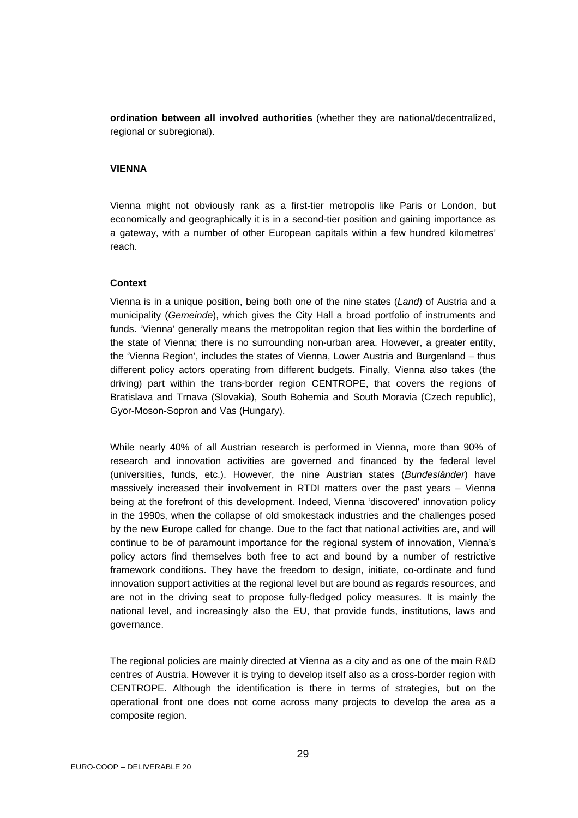**ordination between all involved authorities** (whether they are national/decentralized, regional or subregional).

#### **VIENNA**

Vienna might not obviously rank as a first-tier metropolis like Paris or London, but economically and geographically it is in a second-tier position and gaining importance as a gateway, with a number of other European capitals within a few hundred kilometres' reach.

#### **Context**

Vienna is in a unique position, being both one of the nine states (*Land*) of Austria and a municipality (*Gemeinde*), which gives the City Hall a broad portfolio of instruments and funds. 'Vienna' generally means the metropolitan region that lies within the borderline of the state of Vienna; there is no surrounding non-urban area. However, a greater entity, the 'Vienna Region', includes the states of Vienna, Lower Austria and Burgenland – thus different policy actors operating from different budgets. Finally, Vienna also takes (the driving) part within the trans-border region CENTROPE, that covers the regions of Bratislava and Trnava (Slovakia), South Bohemia and South Moravia (Czech republic), Gyor-Moson-Sopron and Vas (Hungary).

While nearly 40% of all Austrian research is performed in Vienna, more than 90% of research and innovation activities are governed and financed by the federal level (universities, funds, etc.). However, the nine Austrian states (*Bundesländer*) have massively increased their involvement in RTDI matters over the past years – Vienna being at the forefront of this development. Indeed, Vienna 'discovered' innovation policy in the 1990s, when the collapse of old smokestack industries and the challenges posed by the new Europe called for change. Due to the fact that national activities are, and will continue to be of paramount importance for the regional system of innovation, Vienna's policy actors find themselves both free to act and bound by a number of restrictive framework conditions. They have the freedom to design, initiate, co-ordinate and fund innovation support activities at the regional level but are bound as regards resources, and are not in the driving seat to propose fully-fledged policy measures. It is mainly the national level, and increasingly also the EU, that provide funds, institutions, laws and governance.

The regional policies are mainly directed at Vienna as a city and as one of the main R&D centres of Austria. However it is trying to develop itself also as a cross-border region with CENTROPE. Although the identification is there in terms of strategies, but on the operational front one does not come across many projects to develop the area as a composite region.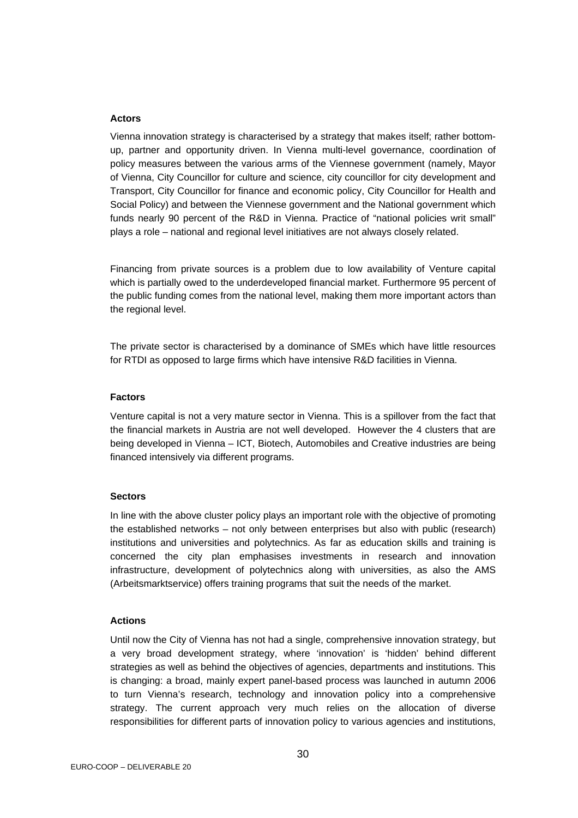#### **Actors**

Vienna innovation strategy is characterised by a strategy that makes itself; rather bottomup, partner and opportunity driven. In Vienna multi-level governance, coordination of policy measures between the various arms of the Viennese government (namely, Mayor of Vienna, City Councillor for culture and science, city councillor for city development and Transport, City Councillor for finance and economic policy, City Councillor for Health and Social Policy) and between the Viennese government and the National government which funds nearly 90 percent of the R&D in Vienna. Practice of "national policies writ small" plays a role – national and regional level initiatives are not always closely related.

Financing from private sources is a problem due to low availability of Venture capital which is partially owed to the underdeveloped financial market. Furthermore 95 percent of the public funding comes from the national level, making them more important actors than the regional level.

The private sector is characterised by a dominance of SMEs which have little resources for RTDI as opposed to large firms which have intensive R&D facilities in Vienna.

#### **Factors**

Venture capital is not a very mature sector in Vienna. This is a spillover from the fact that the financial markets in Austria are not well developed. However the 4 clusters that are being developed in Vienna – ICT, Biotech, Automobiles and Creative industries are being financed intensively via different programs.

#### **Sectors**

In line with the above cluster policy plays an important role with the objective of promoting the established networks – not only between enterprises but also with public (research) institutions and universities and polytechnics. As far as education skills and training is concerned the city plan emphasises investments in research and innovation infrastructure, development of polytechnics along with universities, as also the AMS (Arbeitsmarktservice) offers training programs that suit the needs of the market.

#### **Actions**

Until now the City of Vienna has not had a single, comprehensive innovation strategy, but a very broad development strategy, where 'innovation' is 'hidden' behind different strategies as well as behind the objectives of agencies, departments and institutions. This is changing: a broad, mainly expert panel-based process was launched in autumn 2006 to turn Vienna's research, technology and innovation policy into a comprehensive strategy. The current approach very much relies on the allocation of diverse responsibilities for different parts of innovation policy to various agencies and institutions,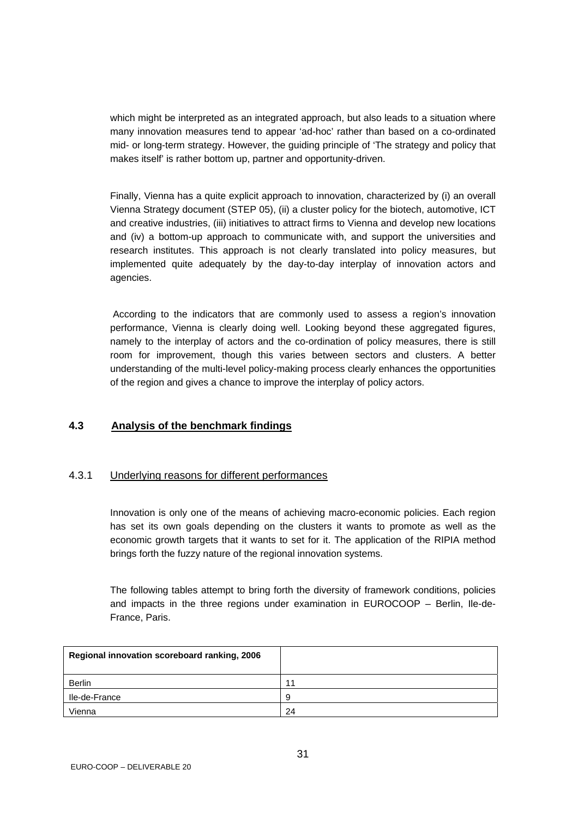<span id="page-30-0"></span>which might be interpreted as an integrated approach, but also leads to a situation where many innovation measures tend to appear 'ad-hoc' rather than based on a co-ordinated mid- or long-term strategy. However, the guiding principle of 'The strategy and policy that makes itself' is rather bottom up, partner and opportunity-driven.

Finally, Vienna has a quite explicit approach to innovation, characterized by (i) an overall Vienna Strategy document (STEP 05), (ii) a cluster policy for the biotech, automotive, ICT and creative industries, (iii) initiatives to attract firms to Vienna and develop new locations and (iv) a bottom-up approach to communicate with, and support the universities and research institutes. This approach is not clearly translated into policy measures, but implemented quite adequately by the day-to-day interplay of innovation actors and agencies.

 According to the indicators that are commonly used to assess a region's innovation performance, Vienna is clearly doing well. Looking beyond these aggregated figures, namely to the interplay of actors and the co-ordination of policy measures, there is still room for improvement, though this varies between sectors and clusters. A better understanding of the multi-level policy-making process clearly enhances the opportunities of the region and gives a chance to improve the interplay of policy actors.

## **4.3 Analysis of the benchmark findings**

#### 4.3.1 Underlying reasons for different performances

Innovation is only one of the means of achieving macro-economic policies. Each region has set its own goals depending on the clusters it wants to promote as well as the economic growth targets that it wants to set for it. The application of the RIPIA method brings forth the fuzzy nature of the regional innovation systems.

The following tables attempt to bring forth the diversity of framework conditions, policies and impacts in the three regions under examination in EUROCOOP – Berlin, Ile-de-France, Paris.

| Regional innovation scoreboard ranking, 2006 |    |
|----------------------------------------------|----|
| Berlin                                       | 11 |
| Ile-de-France                                | 9. |
| Vienna                                       | 24 |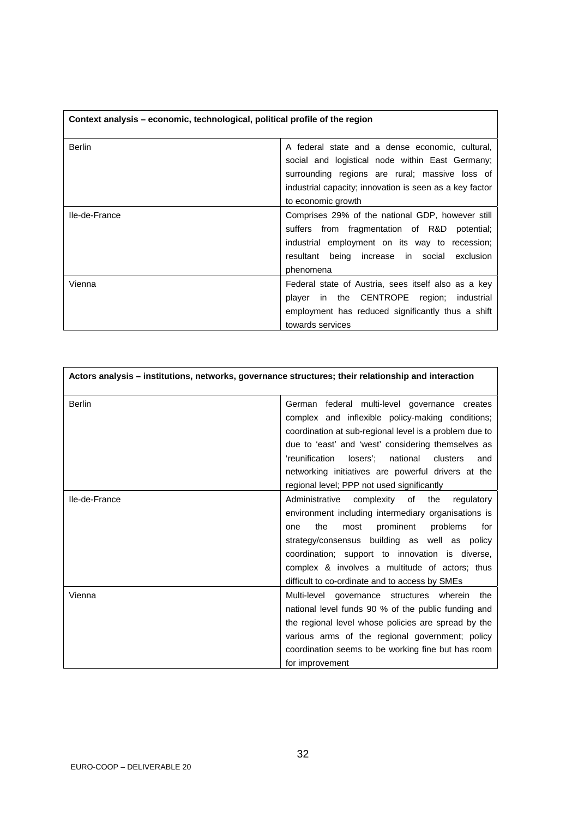| Context analysis - economic, technological, political profile of the region |                                                                                                                                                                                                                                       |
|-----------------------------------------------------------------------------|---------------------------------------------------------------------------------------------------------------------------------------------------------------------------------------------------------------------------------------|
| Berlin                                                                      | A federal state and a dense economic, cultural,<br>social and logistical node within East Germany;<br>surrounding regions are rural; massive loss of<br>industrial capacity; innovation is seen as a key factor<br>to economic growth |
| Ile-de-France                                                               | Comprises 29% of the national GDP, however still<br>suffers from fragmentation of R&D potential;<br>industrial employment on its way to recession;<br>resultant being increase in social<br>exclusion<br>phenomena                    |
| Vienna                                                                      | Federal state of Austria, sees itself also as a key<br>player in the CENTROPE region;<br>industrial<br>employment has reduced significantly thus a shift<br>towards services                                                          |

| Actors analysis – institutions, networks, governance structures; their relationship and interaction |                                                           |
|-----------------------------------------------------------------------------------------------------|-----------------------------------------------------------|
| <b>Berlin</b>                                                                                       | German federal multi-level governance creates             |
|                                                                                                     | complex and inflexible policy-making conditions;          |
|                                                                                                     | coordination at sub-regional level is a problem due to    |
|                                                                                                     | due to 'east' and 'west' considering themselves as        |
|                                                                                                     | 'reunification<br>losers':<br>national<br>clusters<br>and |
|                                                                                                     | networking initiatives are powerful drivers at the        |
|                                                                                                     | regional level; PPP not used significantly                |
| Ile-de-France                                                                                       | Administrative<br>complexity of<br>the<br>regulatory      |
|                                                                                                     | environment including intermediary organisations is       |
|                                                                                                     | the<br>prominent<br>problems<br>for<br>most<br>one        |
|                                                                                                     | strategy/consensus building as well as policy             |
|                                                                                                     | coordination; support to innovation is diverse,           |
|                                                                                                     | complex & involves a multitude of actors; thus            |
|                                                                                                     | difficult to co-ordinate and to access by SMEs            |
| Vienna                                                                                              | Multi-level governance structures wherein the             |
|                                                                                                     | national level funds 90 % of the public funding and       |
|                                                                                                     | the regional level whose policies are spread by the       |
|                                                                                                     | various arms of the regional government; policy           |
|                                                                                                     | coordination seems to be working fine but has room        |
|                                                                                                     | for improvement                                           |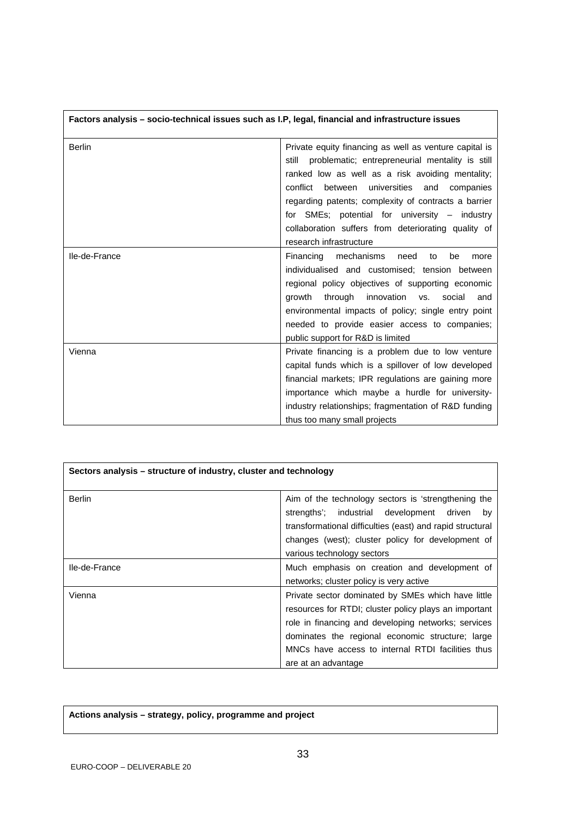| Factors analysis - socio-technical issues such as I.P, legal, financial and infrastructure issues |                                                          |  |
|---------------------------------------------------------------------------------------------------|----------------------------------------------------------|--|
| <b>Berlin</b>                                                                                     | Private equity financing as well as venture capital is   |  |
|                                                                                                   | problematic; entrepreneurial mentality is still<br>still |  |
|                                                                                                   | ranked low as well as a risk avoiding mentality;         |  |
|                                                                                                   | universities<br>conflict<br>between<br>and<br>companies  |  |
|                                                                                                   | regarding patents; complexity of contracts a barrier     |  |
|                                                                                                   | for SMEs; potential for university $-$ industry          |  |
|                                                                                                   | collaboration suffers from deteriorating quality of      |  |
|                                                                                                   | research infrastructure                                  |  |
| Ile-de-France                                                                                     | Financing mechanisms<br>need<br>to<br>be<br>more         |  |
|                                                                                                   | individualised and customised; tension between           |  |
|                                                                                                   | regional policy objectives of supporting economic        |  |
|                                                                                                   | through innovation vs.<br>growth<br>social<br>and        |  |
|                                                                                                   | environmental impacts of policy; single entry point      |  |
|                                                                                                   | needed to provide easier access to companies;            |  |
|                                                                                                   | public support for R&D is limited                        |  |
| Vienna                                                                                            | Private financing is a problem due to low venture        |  |
|                                                                                                   | capital funds which is a spillover of low developed      |  |
|                                                                                                   | financial markets; IPR regulations are gaining more      |  |
|                                                                                                   | importance which maybe a hurdle for university-          |  |
|                                                                                                   | industry relationships; fragmentation of R&D funding     |  |
|                                                                                                   | thus too many small projects                             |  |

| Sectors analysis – structure of industry, cluster and technology |                                                                                                                                                                                                                                                                                                    |
|------------------------------------------------------------------|----------------------------------------------------------------------------------------------------------------------------------------------------------------------------------------------------------------------------------------------------------------------------------------------------|
| <b>Berlin</b>                                                    | Aim of the technology sectors is 'strengthening the<br>strengths'; industrial development driven<br>by<br>transformational difficulties (east) and rapid structural<br>changes (west); cluster policy for development of<br>various technology sectors                                             |
| Ile-de-France                                                    | Much emphasis on creation and development of<br>networks; cluster policy is very active                                                                                                                                                                                                            |
| Vienna                                                           | Private sector dominated by SMEs which have little<br>resources for RTDI; cluster policy plays an important<br>role in financing and developing networks; services<br>dominates the regional economic structure; large<br>MNCs have access to internal RTDI facilities thus<br>are at an advantage |

**Actions analysis – strategy, policy, programme and project**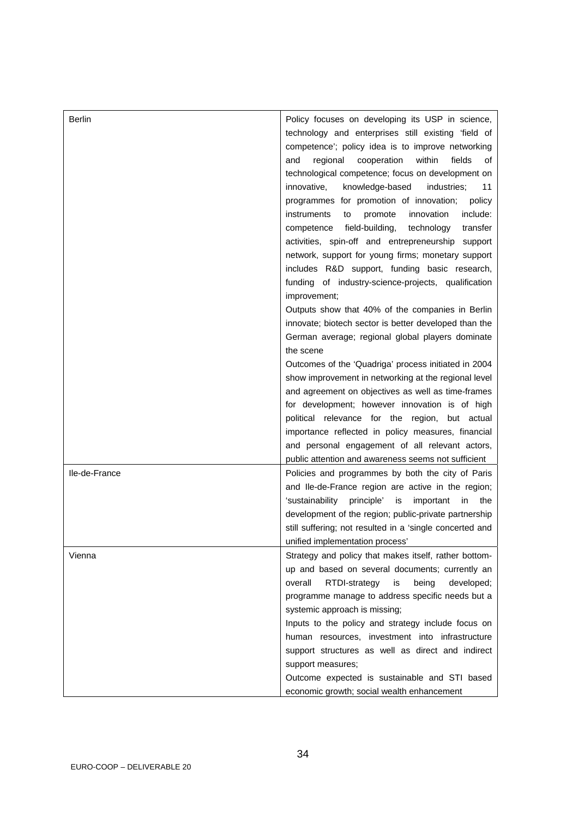| <b>Berlin</b> | Policy focuses on developing its USP in science,              |
|---------------|---------------------------------------------------------------|
|               | technology and enterprises still existing 'field of           |
|               | competence'; policy idea is to improve networking             |
|               | regional<br>cooperation<br>within<br>fields<br>and<br>οf      |
|               | technological competence; focus on development on             |
|               | knowledge-based<br>innovative,<br>industries:<br>11           |
|               | programmes for promotion of innovation;<br>policy             |
|               | innovation<br>include:<br>instruments<br>promote<br>to        |
|               |                                                               |
|               | field-building,<br>technology<br>competence<br>transfer       |
|               | activities, spin-off and entrepreneurship support             |
|               | network, support for young firms; monetary support            |
|               | includes R&D support, funding basic research,                 |
|               | funding of industry-science-projects, qualification           |
|               | improvement;                                                  |
|               | Outputs show that 40% of the companies in Berlin              |
|               | innovate; biotech sector is better developed than the         |
|               | German average; regional global players dominate              |
|               | the scene                                                     |
|               | Outcomes of the 'Quadriga' process initiated in 2004          |
|               | show improvement in networking at the regional level          |
|               | and agreement on objectives as well as time-frames            |
|               | for development; however innovation is of high                |
|               | political relevance for the region, but actual                |
|               | importance reflected in policy measures, financial            |
|               | and personal engagement of all relevant actors,               |
|               | public attention and awareness seems not sufficient           |
| Ile-de-France | Policies and programmes by both the city of Paris             |
|               | and Ile-de-France region are active in the region;            |
|               | 'sustainability<br>principle'<br>is<br>important<br>in<br>the |
|               | development of the region; public-private partnership         |
|               | still suffering; not resulted in a 'single concerted and      |
|               | unified implementation process'                               |
| Vienna        | Strategy and policy that makes itself, rather bottom-         |
|               | up and based on several documents; currently an               |
|               | overall<br>RTDI-strategy<br>being<br>is<br>developed;         |
|               | programme manage to address specific needs but a              |
|               | systemic approach is missing;                                 |
|               | Inputs to the policy and strategy include focus on            |
|               | human resources, investment into infrastructure               |
|               | support structures as well as direct and indirect             |
|               | support measures;                                             |
|               | Outcome expected is sustainable and STI based                 |
|               | economic growth; social wealth enhancement                    |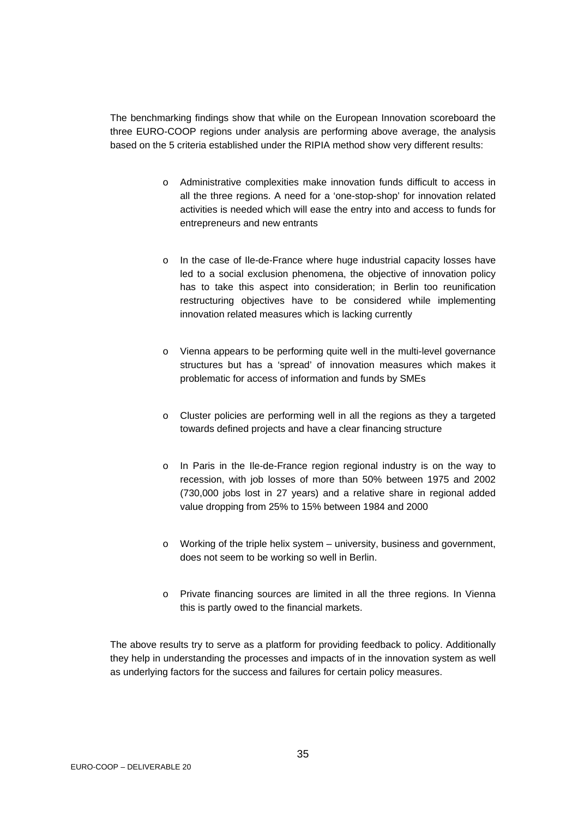The benchmarking findings show that while on the European Innovation scoreboard the three EURO-COOP regions under analysis are performing above average, the analysis based on the 5 criteria established under the RIPIA method show very different results:

- o Administrative complexities make innovation funds difficult to access in all the three regions. A need for a 'one-stop-shop' for innovation related activities is needed which will ease the entry into and access to funds for entrepreneurs and new entrants
- o In the case of Ile-de-France where huge industrial capacity losses have led to a social exclusion phenomena, the objective of innovation policy has to take this aspect into consideration; in Berlin too reunification restructuring objectives have to be considered while implementing innovation related measures which is lacking currently
- o Vienna appears to be performing quite well in the multi-level governance structures but has a 'spread' of innovation measures which makes it problematic for access of information and funds by SMEs
- o Cluster policies are performing well in all the regions as they a targeted towards defined projects and have a clear financing structure
- o In Paris in the Ile-de-France region regional industry is on the way to recession, with job losses of more than 50% between 1975 and 2002 (730,000 jobs lost in 27 years) and a relative share in regional added value dropping from 25% to 15% between 1984 and 2000
- o Working of the triple helix system university, business and government, does not seem to be working so well in Berlin.
- o Private financing sources are limited in all the three regions. In Vienna this is partly owed to the financial markets.

The above results try to serve as a platform for providing feedback to policy. Additionally they help in understanding the processes and impacts of in the innovation system as well as underlying factors for the success and failures for certain policy measures.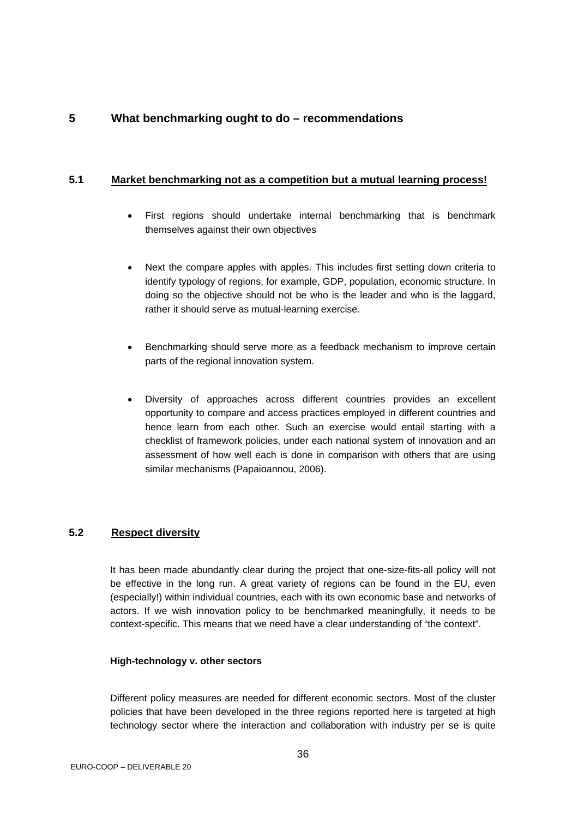## <span id="page-35-0"></span>**5 What benchmarking ought to do – recommendations**

#### **5.1 Market benchmarking not as a competition but a mutual learning process!**

- First regions should undertake internal benchmarking that is benchmark themselves against their own objectives
- Next the compare apples with apples. This includes first setting down criteria to identify typology of regions, for example, GDP, population, economic structure. In doing so the objective should not be who is the leader and who is the laggard, rather it should serve as mutual-learning exercise.
- Benchmarking should serve more as a feedback mechanism to improve certain parts of the regional innovation system.
- Diversity of approaches across different countries provides an excellent opportunity to compare and access practices employed in different countries and hence learn from each other. Such an exercise would entail starting with a checklist of framework policies, under each national system of innovation and an assessment of how well each is done in comparison with others that are using similar mechanisms (Papaioannou, 2006).

## **5.2 Respect diversity**

It has been made abundantly clear during the project that one-size-fits-all policy will not be effective in the long run. A great variety of regions can be found in the EU, even (especially!) within individual countries, each with its own economic base and networks of actors. If we wish innovation policy to be benchmarked meaningfully, it needs to be context-specific. This means that we need have a clear understanding of "the context".

#### **High-technology v. other sectors**

Different policy measures are needed for different economic sectors. Most of the cluster policies that have been developed in the three regions reported here is targeted at high technology sector where the interaction and collaboration with industry per se is quite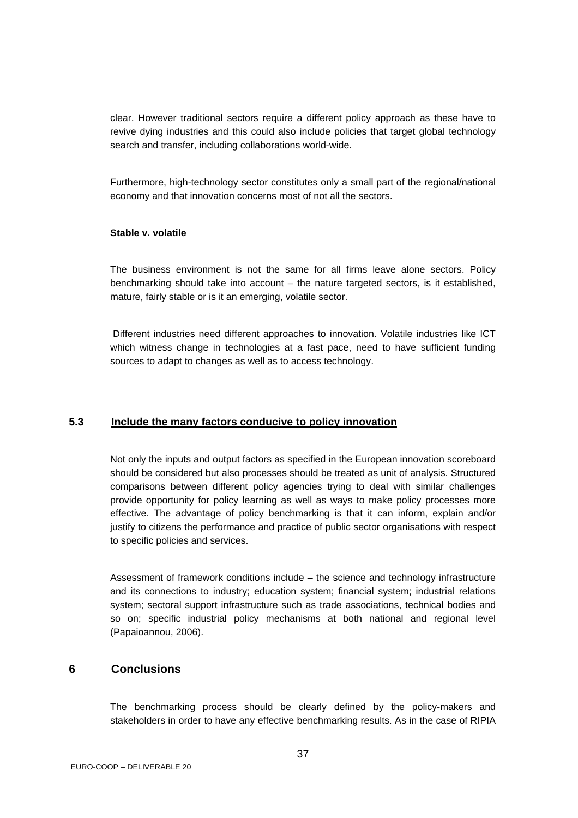<span id="page-36-0"></span>clear. However traditional sectors require a different policy approach as these have to revive dying industries and this could also include policies that target global technology search and transfer, including collaborations world-wide.

Furthermore, high-technology sector constitutes only a small part of the regional/national economy and that innovation concerns most of not all the sectors.

#### **Stable v. volatile**

The business environment is not the same for all firms leave alone sectors. Policy benchmarking should take into account – the nature targeted sectors, is it established, mature, fairly stable or is it an emerging, volatile sector.

 Different industries need different approaches to innovation. Volatile industries like ICT which witness change in technologies at a fast pace, need to have sufficient funding sources to adapt to changes as well as to access technology.

#### **5.3 Include the many factors conducive to policy innovation**

Not only the inputs and output factors as specified in the European innovation scoreboard should be considered but also processes should be treated as unit of analysis. Structured comparisons between different policy agencies trying to deal with similar challenges provide opportunity for policy learning as well as ways to make policy processes more effective. The advantage of policy benchmarking is that it can inform, explain and/or justify to citizens the performance and practice of public sector organisations with respect to specific policies and services.

Assessment of framework conditions include – the science and technology infrastructure and its connections to industry; education system; financial system; industrial relations system; sectoral support infrastructure such as trade associations, technical bodies and so on; specific industrial policy mechanisms at both national and regional level (Papaioannou, 2006).

## **6 Conclusions**

The benchmarking process should be clearly defined by the policy-makers and stakeholders in order to have any effective benchmarking results. As in the case of RIPIA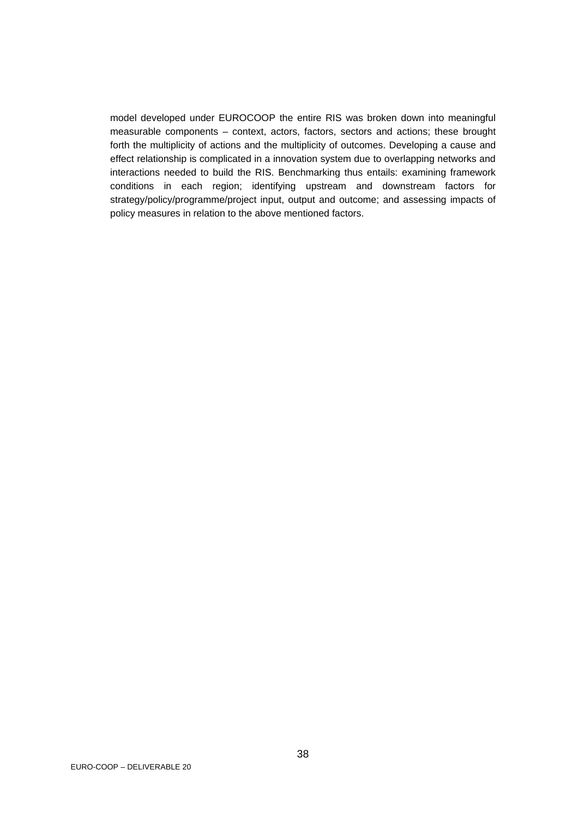model developed under EUROCOOP the entire RIS was broken down into meaningful measurable components – context, actors, factors, sectors and actions; these brought forth the multiplicity of actions and the multiplicity of outcomes. Developing a cause and effect relationship is complicated in a innovation system due to overlapping networks and interactions needed to build the RIS. Benchmarking thus entails: examining framework conditions in each region; identifying upstream and downstream factors for strategy/policy/programme/project input, output and outcome; and assessing impacts of policy measures in relation to the above mentioned factors.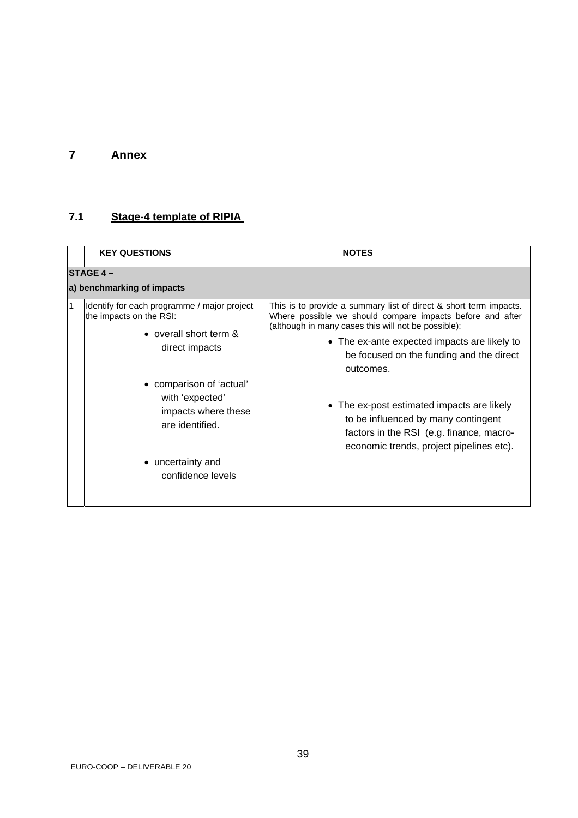## <span id="page-38-0"></span>**7 Annex**

## **7.1 Stage-4 template of RIPIA**

|                            | <b>KEY QUESTIONS</b>                                                                                                                                                                                                                                  |  |  | <b>NOTES</b>                                                                                                                                                                                                                                                                                                                                                                                                                                                                |  |  |  |  |  |  |
|----------------------------|-------------------------------------------------------------------------------------------------------------------------------------------------------------------------------------------------------------------------------------------------------|--|--|-----------------------------------------------------------------------------------------------------------------------------------------------------------------------------------------------------------------------------------------------------------------------------------------------------------------------------------------------------------------------------------------------------------------------------------------------------------------------------|--|--|--|--|--|--|
|                            | <b>ISTAGE 4 –</b>                                                                                                                                                                                                                                     |  |  |                                                                                                                                                                                                                                                                                                                                                                                                                                                                             |  |  |  |  |  |  |
| a) benchmarking of impacts |                                                                                                                                                                                                                                                       |  |  |                                                                                                                                                                                                                                                                                                                                                                                                                                                                             |  |  |  |  |  |  |
| 1                          | Identify for each programme / major project<br>the impacts on the RSI:<br>• overall short term &<br>direct impacts<br>• comparison of 'actual'<br>with 'expected'<br>impacts where these<br>are identified.<br>• uncertainty and<br>confidence levels |  |  | This is to provide a summary list of direct & short term impacts.<br>Where possible we should compare impacts before and after<br>(although in many cases this will not be possible):<br>• The ex-ante expected impacts are likely to<br>be focused on the funding and the direct<br>outcomes.<br>• The ex-post estimated impacts are likely<br>to be influenced by many contingent<br>factors in the RSI (e.g. finance, macro-<br>economic trends, project pipelines etc). |  |  |  |  |  |  |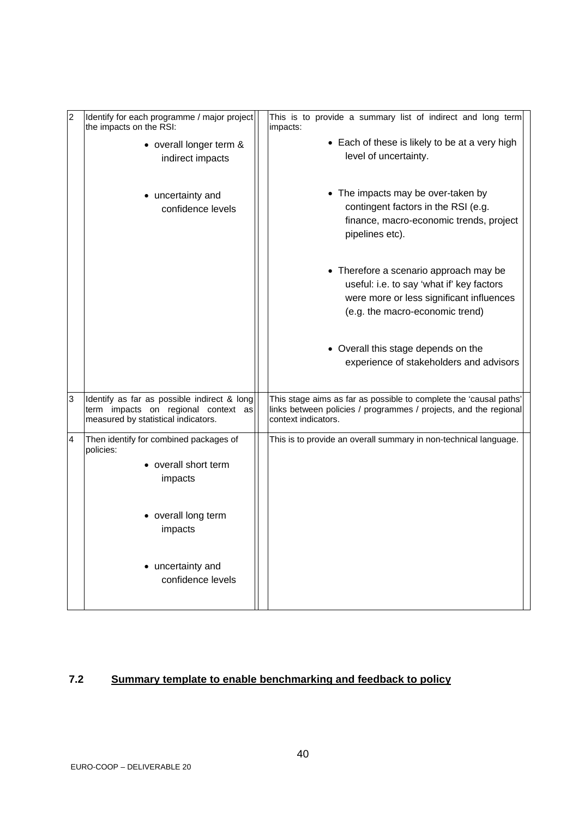<span id="page-39-0"></span>

| $\overline{2}$ | Identify for each programme / major project<br>the impacts on the RSI:                                                    | This is to provide a summary list of indirect and long term<br>impacts:                                                                                            |  |
|----------------|---------------------------------------------------------------------------------------------------------------------------|--------------------------------------------------------------------------------------------------------------------------------------------------------------------|--|
|                | • overall longer term &<br>indirect impacts                                                                               | • Each of these is likely to be at a very high<br>level of uncertainty.                                                                                            |  |
|                | • uncertainty and<br>confidence levels                                                                                    | • The impacts may be over-taken by<br>contingent factors in the RSI (e.g.<br>finance, macro-economic trends, project<br>pipelines etc).                            |  |
|                |                                                                                                                           | • Therefore a scenario approach may be<br>useful: i.e. to say 'what if' key factors<br>were more or less significant influences<br>(e.g. the macro-economic trend) |  |
|                |                                                                                                                           | • Overall this stage depends on the<br>experience of stakeholders and advisors                                                                                     |  |
| 3              | Identify as far as possible indirect & long<br>term impacts on regional context as<br>measured by statistical indicators. | This stage aims as far as possible to complete the 'causal paths'<br>links between policies / programmes / projects, and the regional<br>context indicators.       |  |
| 4              | Then identify for combined packages of<br>policies:<br>• overall short term<br>impacts                                    | This is to provide an overall summary in non-technical language.                                                                                                   |  |
|                | • overall long term<br>impacts                                                                                            |                                                                                                                                                                    |  |
|                | • uncertainty and<br>confidence levels                                                                                    |                                                                                                                                                                    |  |

## **7.2 Summary template to enable benchmarking and feedback to policy**